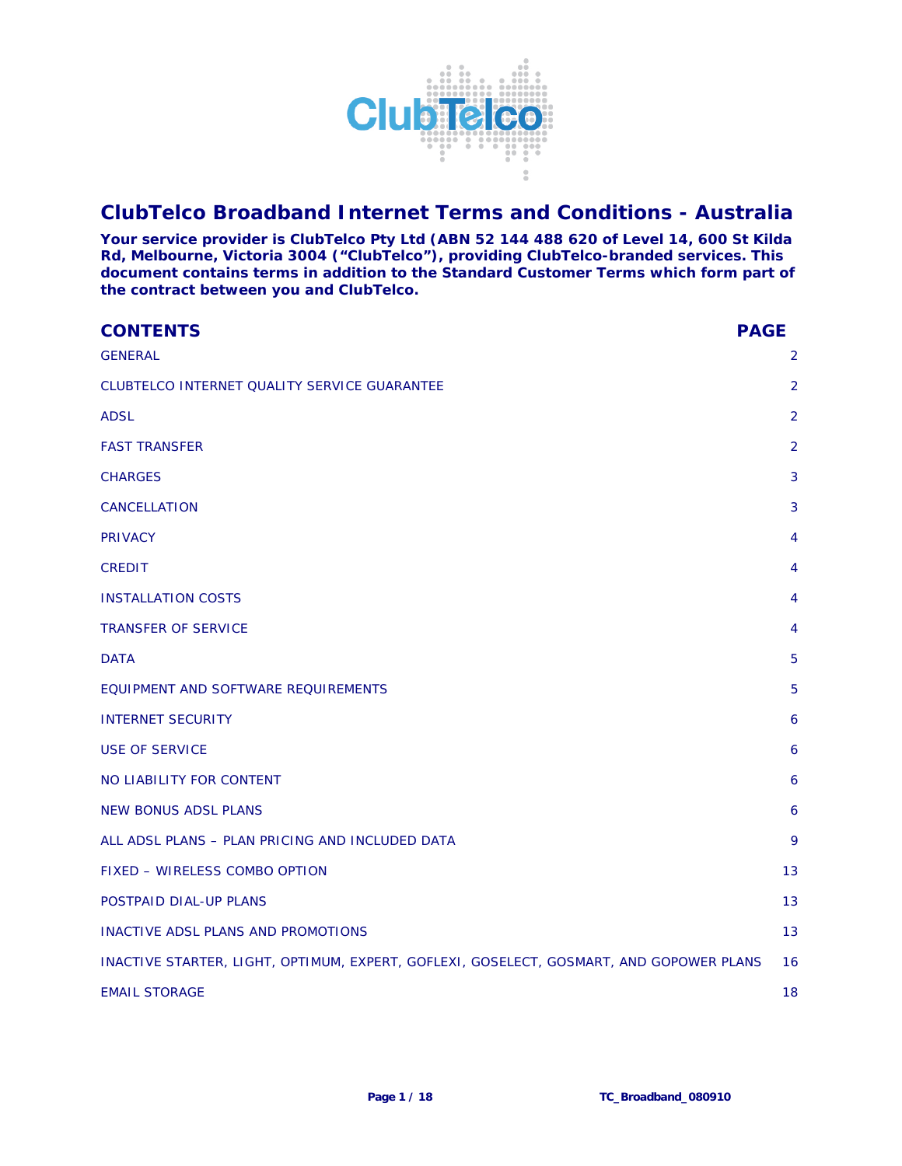

# **ClubTelco Broadband Internet Terms and Conditions - Australia**

**Your service provider is ClubTelco Pty Ltd (ABN 52 144 488 620 of Level 14, 600 St Kilda Rd, Melbourne, Victoria 3004 ("ClubTelco"), providing ClubTelco-branded services. This document contains terms in addition to the Standard Customer Terms which form part of the contract between you and ClubTelco.** 

| <b>CONTENTS</b>                                                                         | <b>PAGE</b>    |
|-----------------------------------------------------------------------------------------|----------------|
| <b>GENERAL</b>                                                                          | 2              |
| CLUBTELCO INTERNET QUALITY SERVICE GUARANTEE                                            | 2              |
| <b>ADSL</b>                                                                             | 2              |
| <b>FAST TRANSFER</b>                                                                    | $\overline{2}$ |
| <b>CHARGES</b>                                                                          | 3              |
| CANCELLATION                                                                            | 3              |
| <b>PRIVACY</b>                                                                          | 4              |
| <b>CREDIT</b>                                                                           | 4              |
| <b>INSTALLATION COSTS</b>                                                               | 4              |
| <b>TRANSFER OF SERVICE</b>                                                              | 4              |
| <b>DATA</b>                                                                             | 5              |
| EQUIPMENT AND SOFTWARE REQUIREMENTS                                                     | 5              |
| <b>INTERNET SECURITY</b>                                                                | 6              |
| <b>USE OF SERVICE</b>                                                                   | 6              |
| NO LIABILITY FOR CONTENT                                                                | 6              |
| <b>NEW BONUS ADSL PLANS</b>                                                             | 6              |
| ALL ADSL PLANS - PLAN PRICING AND INCLUDED DATA                                         | 9              |
| FIXED - WIRELESS COMBO OPTION                                                           | 13             |
| POSTPAID DIAL-UP PLANS                                                                  | 13             |
| INACTIVE ADSL PLANS AND PROMOTIONS                                                      | 13             |
| INACTIVE STARTER, LIGHT, OPTIMUM, EXPERT, GOFLEXI, GOSELECT, GOSMART, AND GOPOWER PLANS | 16             |
| <b>EMAIL STORAGE</b>                                                                    | 18             |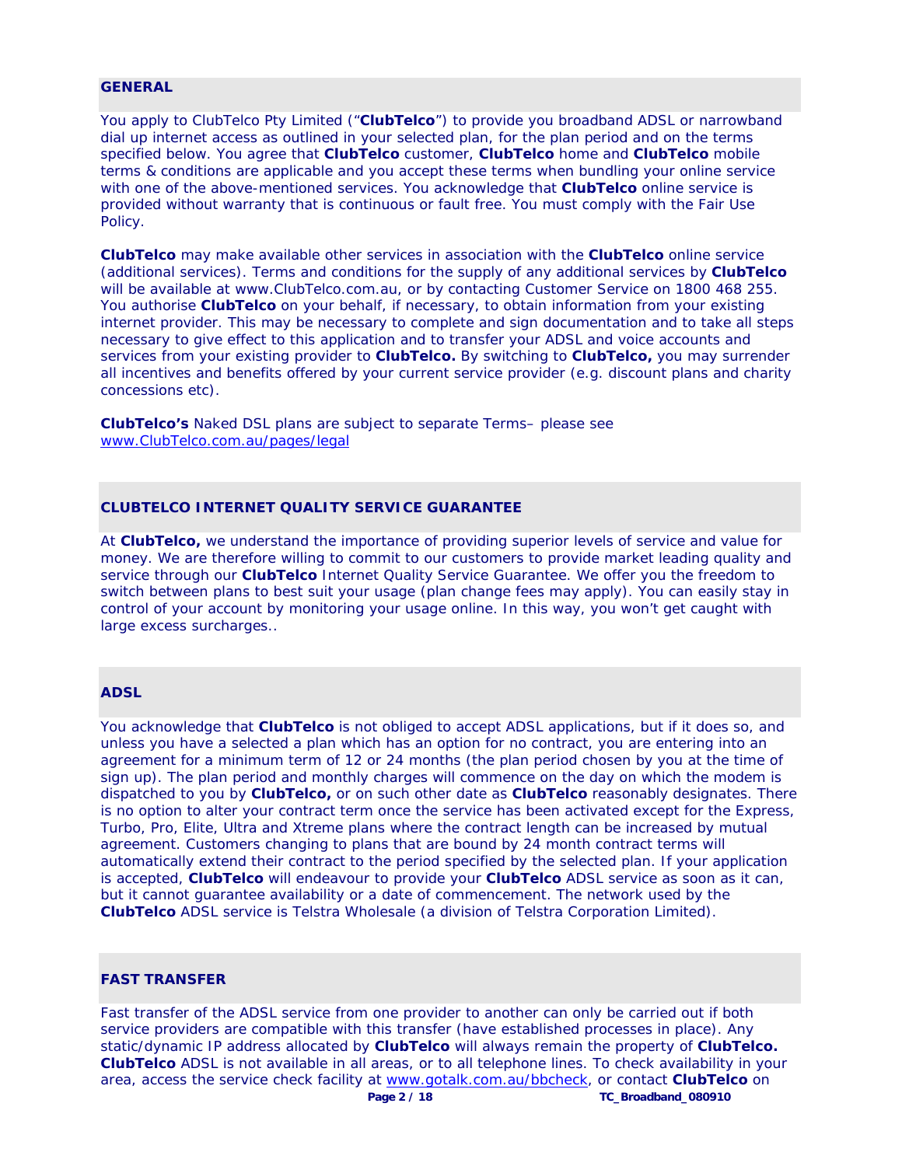#### **GENERAL**

You apply to ClubTelco Pty Limited ("**ClubTelco**") to provide you broadband ADSL or narrowband dial up internet access as outlined in your selected plan, for the plan period and on the terms specified below. You agree that **ClubTelco** customer, **ClubTelco** home and **ClubTelco** mobile terms & conditions are applicable and you accept these terms when bundling your online service with one of the above-mentioned services. You acknowledge that **ClubTelco** online service is provided without warranty that is continuous or fault free. You must comply with the Fair Use Policy.

**ClubTelco** may make available other services in association with the **ClubTelco** online service (additional services). Terms and conditions for the supply of any additional services by **ClubTelco**  will be available at www.ClubTelco.com.au, or by contacting Customer Service on 1800 468 255. You authorise **ClubTelco** on your behalf, if necessary, to obtain information from your existing internet provider. This may be necessary to complete and sign documentation and to take all steps necessary to give effect to this application and to transfer your ADSL and voice accounts and services from your existing provider to **ClubTelco.** By switching to **ClubTelco,** you may surrender all incentives and benefits offered by your current service provider (e.g. discount plans and charity concessions etc).

**ClubTelco's** Naked DSL plans are subject to separate Terms– please see www.ClubTelco.com.au/pages/legal

# **CLUBTELCO INTERNET QUALITY SERVICE GUARANTEE**

At **ClubTelco,** we understand the importance of providing superior levels of service and value for money. We are therefore willing to commit to our customers to provide market leading quality and service through our **ClubTelco** Internet Quality Service Guarantee. We offer you the freedom to switch between plans to best suit your usage (plan change fees may apply). You can easily stay in control of your account by monitoring your usage online. In this way, you won't get caught with large excess surcharges..

## **ADSL**

You acknowledge that **ClubTelco** is not obliged to accept ADSL applications, but if it does so, and unless you have a selected a plan which has an option for no contract, you are entering into an agreement for a minimum term of 12 or 24 months (the plan period chosen by you at the time of sign up). The plan period and monthly charges will commence on the day on which the modem is dispatched to you by **ClubTelco,** or on such other date as **ClubTelco** reasonably designates. There is no option to alter your contract term once the service has been activated except for the Express, Turbo, Pro, Elite, Ultra and Xtreme plans where the contract length can be increased by mutual agreement. Customers changing to plans that are bound by 24 month contract terms will automatically extend their contract to the period specified by the selected plan. If your application is accepted, **ClubTelco** will endeavour to provide your **ClubTelco** ADSL service as soon as it can, but it cannot guarantee availability or a date of commencement. The network used by the **ClubTelco** ADSL service is Telstra Wholesale (a division of Telstra Corporation Limited).

#### **FAST TRANSFER**

 **Page 2 / 18 TC\_Broadband\_080910**  Fast transfer of the ADSL service from one provider to another can only be carried out if both service providers are compatible with this transfer (have established processes in place). Any static/dynamic IP address allocated by **ClubTelco** will always remain the property of **ClubTelco. ClubTelco** ADSL is not available in all areas, or to all telephone lines. To check availability in your area, access the service check facility at www.gotalk.com.au/bbcheck, or contact **ClubTelco** on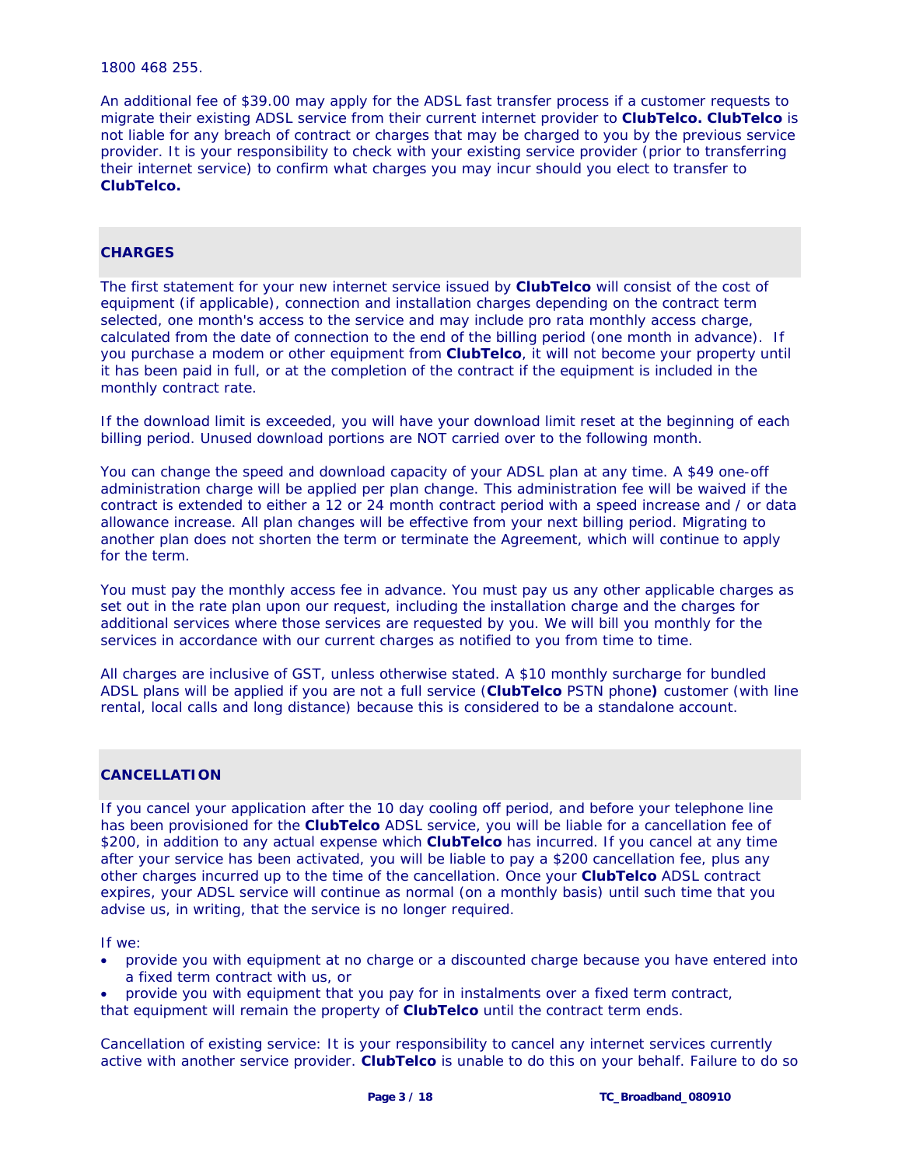1800 468 255.

An additional fee of \$39.00 may apply for the ADSL fast transfer process if a customer requests to migrate their existing ADSL service from their current internet provider to **ClubTelco. ClubTelco** is not liable for any breach of contract or charges that may be charged to you by the previous service provider. It is your responsibility to check with your existing service provider (prior to transferring their internet service) to confirm what charges you may incur should you elect to transfer to **ClubTelco.** 

#### **CHARGES**

The first statement for your new internet service issued by **ClubTelco** will consist of the cost of equipment (if applicable), connection and installation charges depending on the contract term selected, one month's access to the service and may include pro rata monthly access charge, calculated from the date of connection to the end of the billing period (one month in advance). If you purchase a modem or other equipment from **ClubTelco**, it will not become your property until it has been paid in full, or at the completion of the contract if the equipment is included in the monthly contract rate.

If the download limit is exceeded, you will have your download limit reset at the beginning of each billing period. Unused download portions are NOT carried over to the following month.

You can change the speed and download capacity of your ADSL plan at any time. A \$49 one-off administration charge will be applied per plan change. This administration fee will be waived if the contract is extended to either a 12 or 24 month contract period with a speed increase and / or data allowance increase. All plan changes will be effective from your next billing period. Migrating to another plan does not shorten the term or terminate the Agreement, which will continue to apply for the term.

You must pay the monthly access fee in advance. You must pay us any other applicable charges as set out in the rate plan upon our request, including the installation charge and the charges for additional services where those services are requested by you. We will bill you monthly for the services in accordance with our current charges as notified to you from time to time.

All charges are inclusive of GST, unless otherwise stated. A \$10 monthly surcharge for bundled ADSL plans will be applied if you are not a full service (**ClubTelco** PSTN phone**)** customer (with line rental, local calls and long distance) because this is considered to be a standalone account.

#### **CANCELLATION**

If you cancel your application after the 10 day cooling off period, and before your telephone line has been provisioned for the **ClubTelco** ADSL service, you will be liable for a cancellation fee of \$200, in addition to any actual expense which **ClubTelco** has incurred. If you cancel at any time after your service has been activated, you will be liable to pay a \$200 cancellation fee, plus any other charges incurred up to the time of the cancellation. Once your **ClubTelco** ADSL contract expires, your ADSL service will continue as normal (on a monthly basis) until such time that you advise us, in writing, that the service is no longer required.

If we:

- provide you with equipment at no charge or a discounted charge because you have entered into a fixed term contract with us, or
- provide you with equipment that you pay for in instalments over a fixed term contract,
- that equipment will remain the property of **ClubTelco** until the contract term ends.

Cancellation of existing service: It is your responsibility to cancel any internet services currently active with another service provider. **ClubTelco** is unable to do this on your behalf. Failure to do so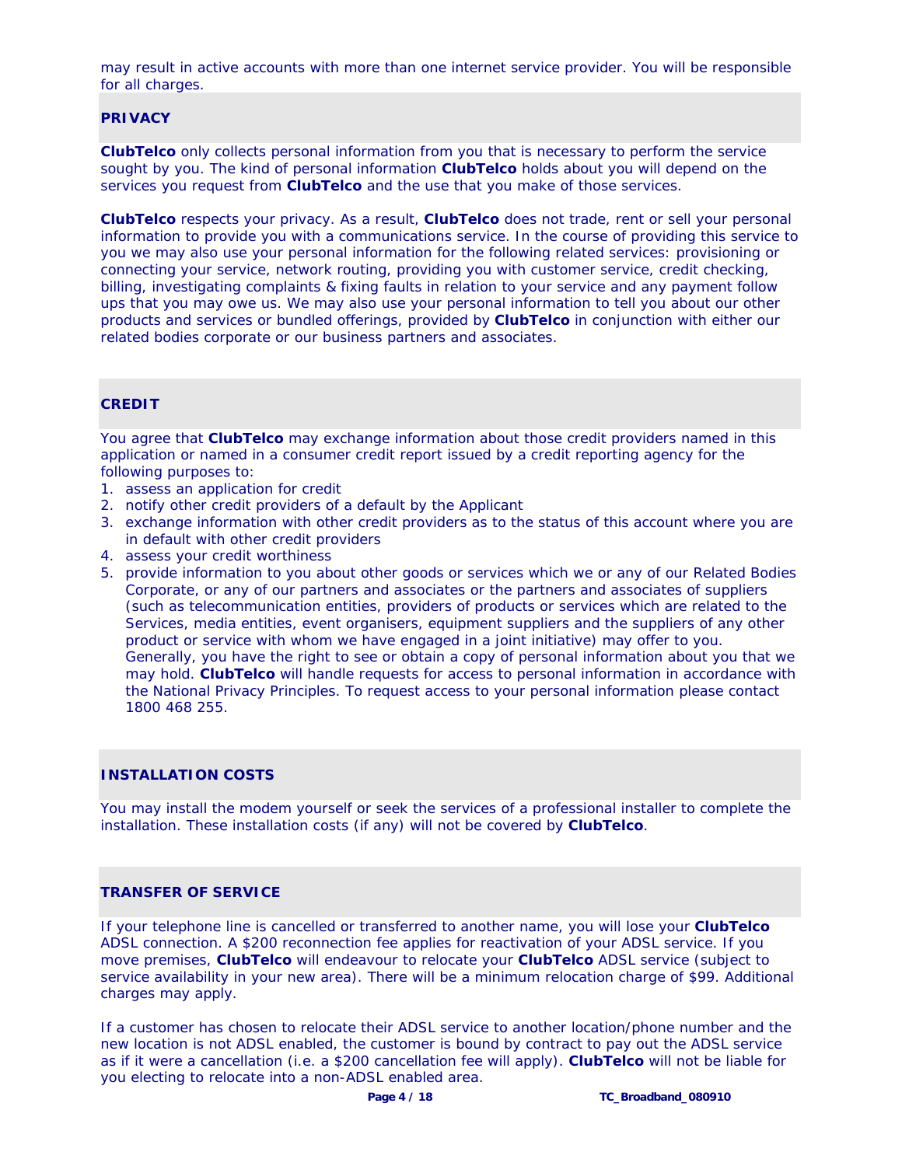may result in active accounts with more than one internet service provider. You will be responsible for all charges.

# **PRIVACY**

**ClubTelco** only collects personal information from you that is necessary to perform the service sought by you. The kind of personal information **ClubTelco** holds about you will depend on the services you request from **ClubTelco** and the use that you make of those services.

**ClubTelco** respects your privacy. As a result, **ClubTelco** does not trade, rent or sell your personal information to provide you with a communications service. In the course of providing this service to you we may also use your personal information for the following related services: provisioning or connecting your service, network routing, providing you with customer service, credit checking, billing, investigating complaints & fixing faults in relation to your service and any payment follow ups that you may owe us. We may also use your personal information to tell you about our other products and services or bundled offerings, provided by **ClubTelco** in conjunction with either our related bodies corporate or our business partners and associates.

# **CREDIT**

You agree that **ClubTelco** may exchange information about those credit providers named in this application or named in a consumer credit report issued by a credit reporting agency for the following purposes to:

- 1. assess an application for credit
- 2. notify other credit providers of a default by the Applicant
- 3. exchange information with other credit providers as to the status of this account where you are in default with other credit providers
- 4. assess your credit worthiness
- 5. provide information to you about other goods or services which we or any of our Related Bodies Corporate, or any of our partners and associates or the partners and associates of suppliers (such as telecommunication entities, providers of products or services which are related to the Services, media entities, event organisers, equipment suppliers and the suppliers of any other product or service with whom we have engaged in a joint initiative) may offer to you. Generally, you have the right to see or obtain a copy of personal information about you that we may hold. **ClubTelco** will handle requests for access to personal information in accordance with the National Privacy Principles. To request access to your personal information please contact 1800 468 255.

# **INSTALLATION COSTS**

You may install the modem yourself or seek the services of a professional installer to complete the installation. These installation costs (if any) will not be covered by **ClubTelco**.

# **TRANSFER OF SERVICE**

If your telephone line is cancelled or transferred to another name, you will lose your **ClubTelco**  ADSL connection. A \$200 reconnection fee applies for reactivation of your ADSL service. If you move premises, **ClubTelco** will endeavour to relocate your **ClubTelco** ADSL service (subject to service availability in your new area). There will be a minimum relocation charge of \$99. Additional charges may apply.

If a customer has chosen to relocate their ADSL service to another location/phone number and the new location is not ADSL enabled, the customer is bound by contract to pay out the ADSL service as if it were a cancellation (i.e. a \$200 cancellation fee will apply). **ClubTelco** will not be liable for you electing to relocate into a non-ADSL enabled area.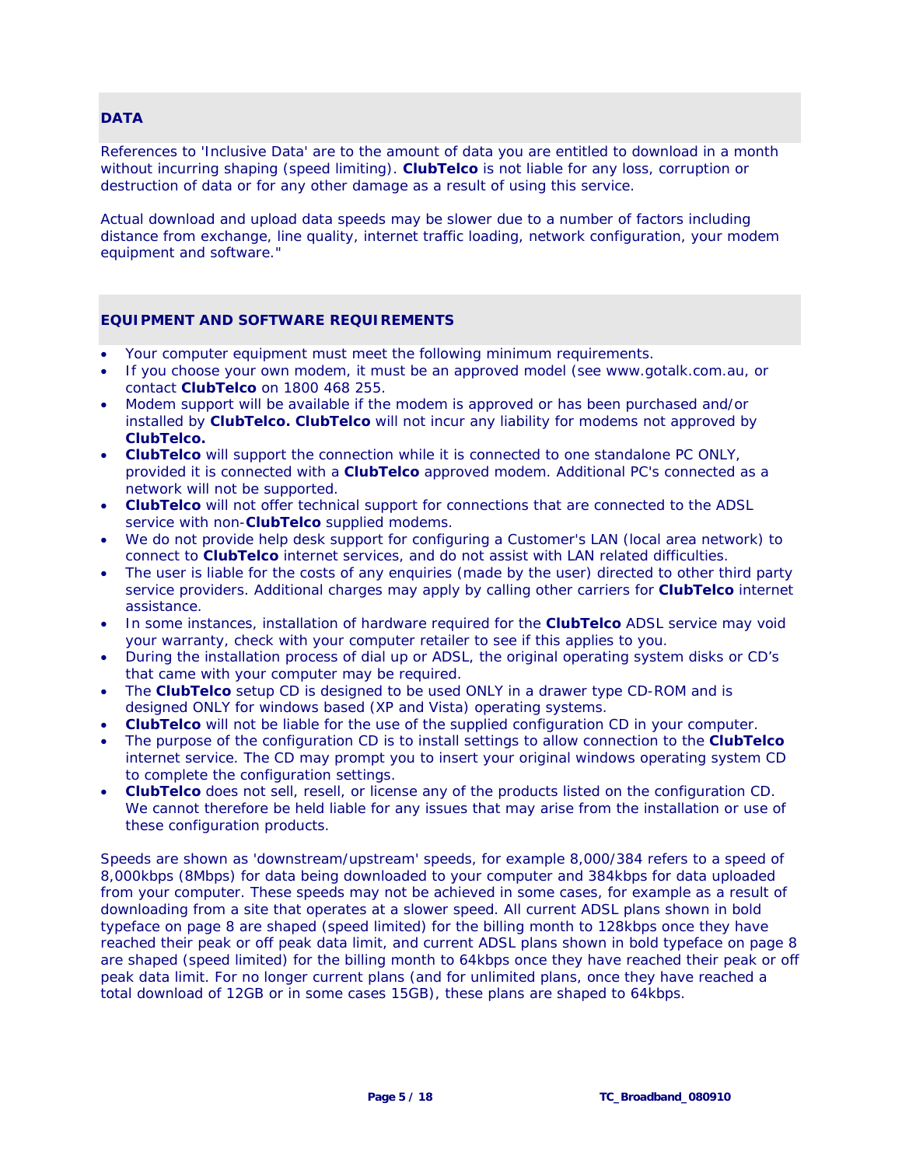## **DATA**

References to 'Inclusive Data' are to the amount of data you are entitled to download in a month without incurring shaping (speed limiting). **ClubTelco** is not liable for any loss, corruption or destruction of data or for any other damage as a result of using this service.

Actual download and upload data speeds may be slower due to a number of factors including distance from exchange, line quality, internet traffic loading, network configuration, your modem equipment and software."

# **EQUIPMENT AND SOFTWARE REQUIREMENTS**

- Your computer equipment must meet the following minimum requirements.
- If you choose your own modem, it must be an approved model (see www.gotalk.com.au, or contact **ClubTelco** on 1800 468 255.
- Modem support will be available if the modem is approved or has been purchased and/or installed by **ClubTelco. ClubTelco** will not incur any liability for modems not approved by **ClubTelco.**
- **ClubTelco** will support the connection while it is connected to one standalone PC ONLY, provided it is connected with a **ClubTelco** approved modem. Additional PC's connected as a network will not be supported.
- **ClubTelco** will not offer technical support for connections that are connected to the ADSL service with non-**ClubTelco** supplied modems.
- We do not provide help desk support for configuring a Customer's LAN (local area network) to connect to **ClubTelco** internet services, and do not assist with LAN related difficulties.
- The user is liable for the costs of any enquiries (made by the user) directed to other third party service providers. Additional charges may apply by calling other carriers for **ClubTelco** internet assistance.
- In some instances, installation of hardware required for the **ClubTelco** ADSL service may void your warranty, check with your computer retailer to see if this applies to you.
- During the installation process of dial up or ADSL, the original operating system disks or CD's that came with your computer may be required.
- The **ClubTelco** setup CD is designed to be used ONLY in a drawer type CD-ROM and is designed ONLY for windows based (XP and Vista) operating systems.
- **ClubTelco** will not be liable for the use of the supplied configuration CD in your computer.
- The purpose of the configuration CD is to install settings to allow connection to the **ClubTelco**  internet service. The CD may prompt you to insert your original windows operating system CD to complete the configuration settings.
- **ClubTelco** does not sell, resell, or license any of the products listed on the configuration CD. We cannot therefore be held liable for any issues that may arise from the installation or use of these configuration products.

Speeds are shown as 'downstream/upstream' speeds, for example 8,000/384 refers to a speed of 8,000kbps (8Mbps) for data being downloaded to your computer and 384kbps for data uploaded from your computer. These speeds may not be achieved in some cases, for example as a result of downloading from a site that operates at a slower speed. All current ADSL plans shown in bold typeface on page 8 are shaped (speed limited) for the billing month to 128kbps once they have reached their peak or off peak data limit, and current ADSL plans shown in bold typeface on page 8 are shaped (speed limited) for the billing month to 64kbps once they have reached their peak or off peak data limit. For no longer current plans (and for unlimited plans, once they have reached a total download of 12GB or in some cases 15GB), these plans are shaped to 64kbps.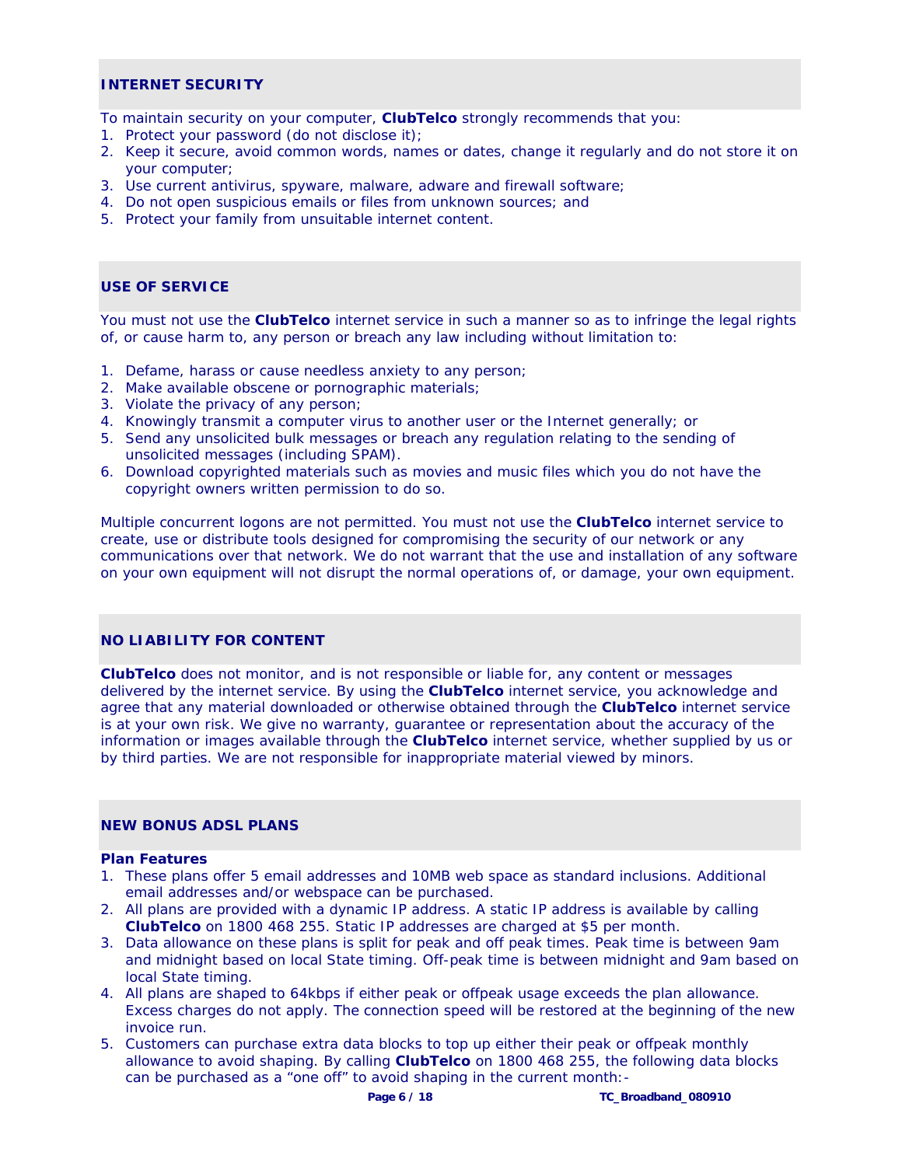## **INTERNET SECURITY**

To maintain security on your computer, **ClubTelco** strongly recommends that you:

- 1. Protect your password (do not disclose it);
- 2. Keep it secure, avoid common words, names or dates, change it regularly and do not store it on your computer;
- 3. Use current antivirus, spyware, malware, adware and firewall software;
- 4. Do not open suspicious emails or files from unknown sources; and
- 5. Protect your family from unsuitable internet content.

#### **USE OF SERVICE**

You must not use the **ClubTelco** internet service in such a manner so as to infringe the legal rights of, or cause harm to, any person or breach any law including without limitation to:

- 1. Defame, harass or cause needless anxiety to any person;
- 2. Make available obscene or pornographic materials;
- 3. Violate the privacy of any person;
- 4. Knowingly transmit a computer virus to another user or the Internet generally; or
- 5. Send any unsolicited bulk messages or breach any regulation relating to the sending of unsolicited messages (including SPAM).
- 6. Download copyrighted materials such as movies and music files which you do not have the copyright owners written permission to do so.

Multiple concurrent logons are not permitted. You must not use the **ClubTelco** internet service to create, use or distribute tools designed for compromising the security of our network or any communications over that network. We do not warrant that the use and installation of any software on your own equipment will not disrupt the normal operations of, or damage, your own equipment.

# **NO LIABILITY FOR CONTENT**

**ClubTelco** does not monitor, and is not responsible or liable for, any content or messages delivered by the internet service. By using the **ClubTelco** internet service, you acknowledge and agree that any material downloaded or otherwise obtained through the **ClubTelco** internet service is at your own risk. We give no warranty, guarantee or representation about the accuracy of the information or images available through the **ClubTelco** internet service, whether supplied by us or by third parties. We are not responsible for inappropriate material viewed by minors.

# **NEW BONUS ADSL PLANS**

#### **Plan Features**

- 1. These plans offer 5 email addresses and 10MB web space as standard inclusions. Additional email addresses and/or webspace can be purchased.
- 2. All plans are provided with a dynamic IP address. A static IP address is available by calling **ClubTelco** on 1800 468 255. Static IP addresses are charged at \$5 per month.
- 3. Data allowance on these plans is split for peak and off peak times. Peak time is between 9am and midnight based on local State timing. Off-peak time is between midnight and 9am based on local State timing.
- 4. All plans are shaped to 64kbps if either peak or offpeak usage exceeds the plan allowance. Excess charges do not apply. The connection speed will be restored at the beginning of the new invoice run.
- 5. Customers can purchase extra data blocks to top up either their peak or offpeak monthly allowance to avoid shaping. By calling **ClubTelco** on 1800 468 255, the following data blocks can be purchased as a "one off" to avoid shaping in the current month:-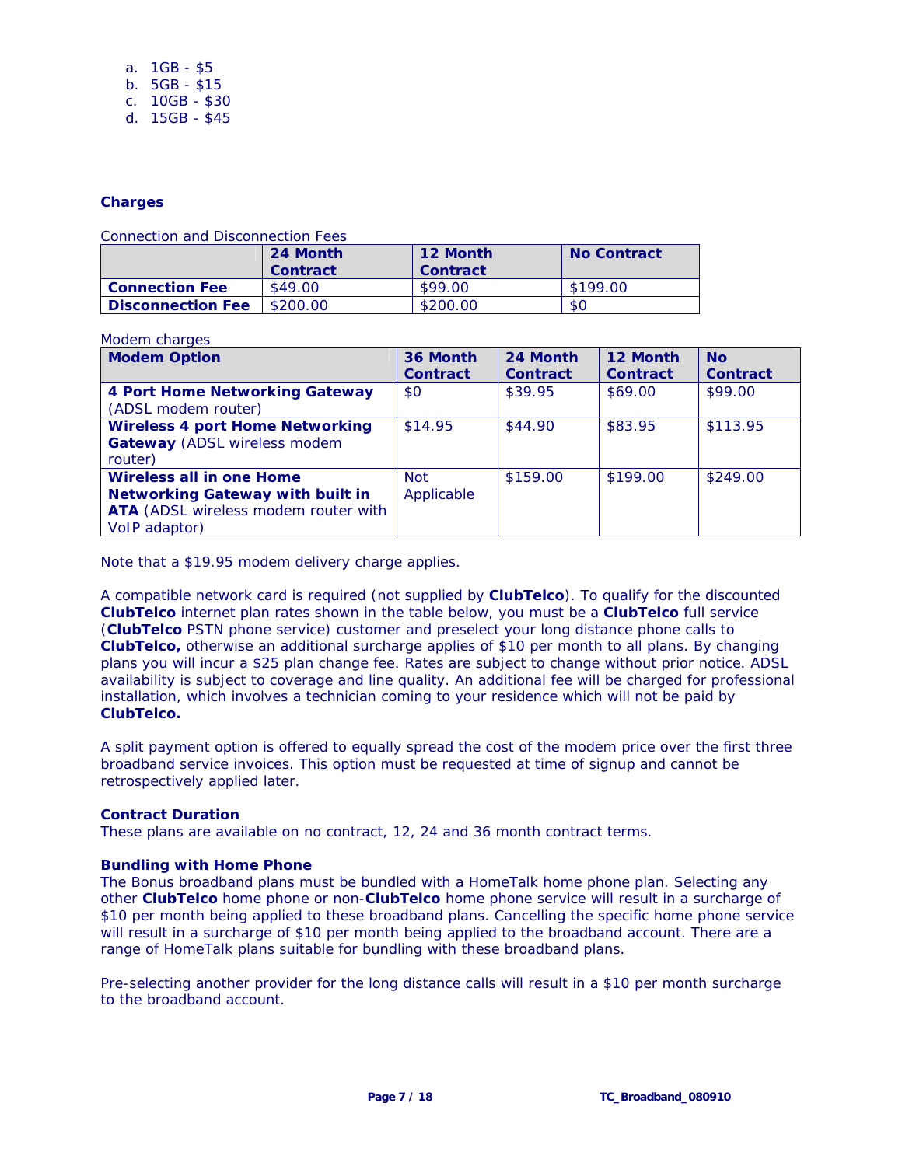| a. $1GB - $5$   |
|-----------------|
| $b. 5GB - $15$  |
| c. $10GB - $30$ |

d. 15GB - \$45

## **Charges**

Connection and Disconnection Fees

|                          | 24 Month<br><b>Contract</b> | 12 Month<br><b>Contract</b> | <b>No Contract</b> |
|--------------------------|-----------------------------|-----------------------------|--------------------|
| <b>Connection Fee</b>    | \$49.00                     | \$99.00                     | \$199.00           |
| <b>Disconnection Fee</b> | \$200.00                    | \$200.00                    | \$0                |

# Modem charges

| <b>Modem Option</b>                                                                                                          | 36 Month                 | 24 Month        | 12 Month        | <b>No</b>       |
|------------------------------------------------------------------------------------------------------------------------------|--------------------------|-----------------|-----------------|-----------------|
|                                                                                                                              | <b>Contract</b>          | <b>Contract</b> | <b>Contract</b> | <b>Contract</b> |
| <b>4 Port Home Networking Gateway</b><br>(ADSL modem router)                                                                 | \$0                      | \$39.95         | \$69.00         | \$99.00         |
| <b>Wireless 4 port Home Networking</b><br><b>Gateway</b> (ADSL wireless modem<br>router)                                     | \$14.95                  | \$44.90         | \$83.95         | \$113.95        |
| Wireless all in one Home<br><b>Networking Gateway with built in</b><br>ATA (ADSL wireless modem router with<br>VolP adaptor) | <b>Not</b><br>Applicable | \$159.00        | \$199.00        | \$249.00        |

Note that a \$19.95 modem delivery charge applies.

A compatible network card is required (not supplied by **ClubTelco**). To qualify for the discounted **ClubTelco** internet plan rates shown in the table below, you must be a **ClubTelco** full service (**ClubTelco** PSTN phone service) customer and preselect your long distance phone calls to **ClubTelco,** otherwise an additional surcharge applies of \$10 per month to all plans. By changing plans you will incur a \$25 plan change fee. Rates are subject to change without prior notice. ADSL availability is subject to coverage and line quality. An additional fee will be charged for professional installation, which involves a technician coming to your residence which will not be paid by **ClubTelco.** 

A split payment option is offered to equally spread the cost of the modem price over the first three broadband service invoices. This option must be requested at time of signup and cannot be retrospectively applied later.

#### **Contract Duration**

These plans are available on no contract, 12, 24 and 36 month contract terms.

#### **Bundling with Home Phone**

The Bonus broadband plans must be bundled with a HomeTalk home phone plan. Selecting any other **ClubTelco** home phone or non-**ClubTelco** home phone service will result in a surcharge of \$10 per month being applied to these broadband plans. Cancelling the specific home phone service will result in a surcharge of \$10 per month being applied to the broadband account. There are a range of HomeTalk plans suitable for bundling with these broadband plans.

Pre-selecting another provider for the long distance calls will result in a \$10 per month surcharge to the broadband account.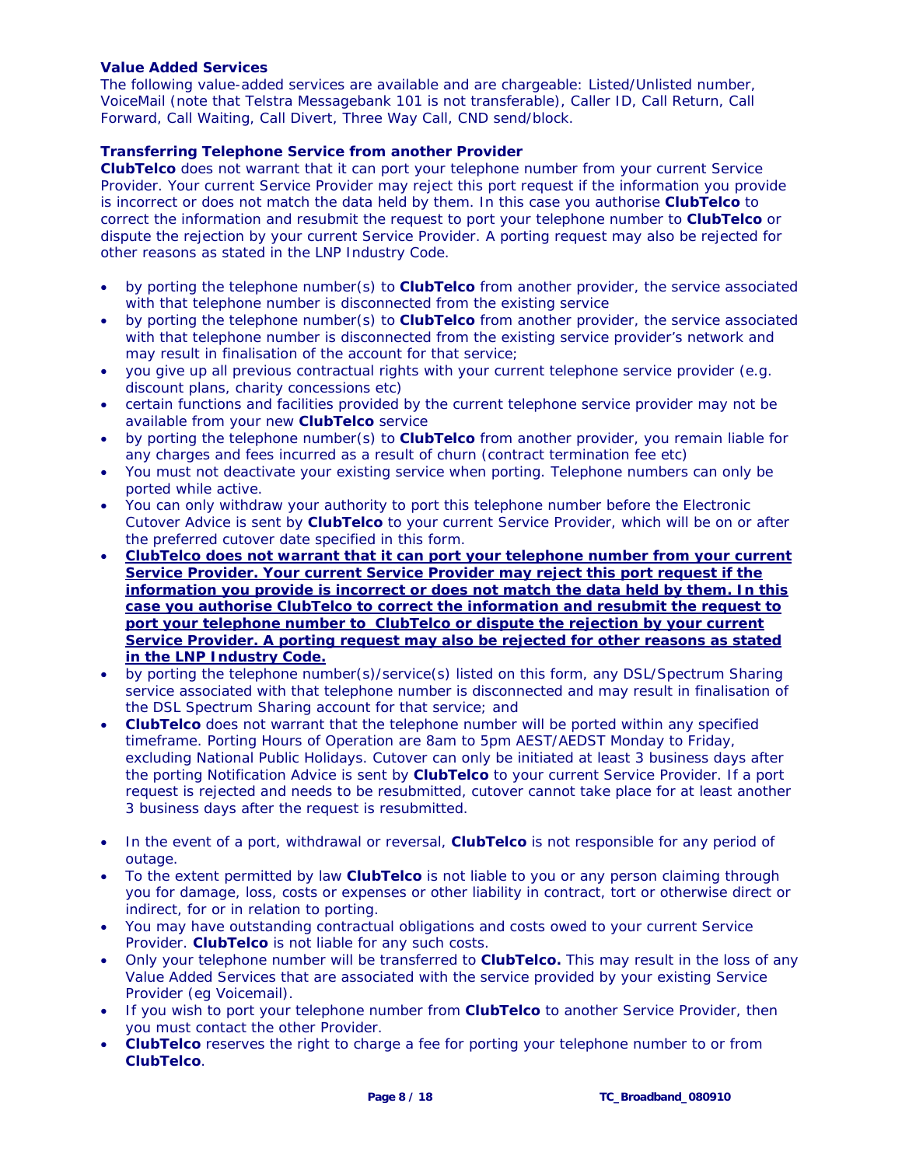# **Value Added Services**

The following value-added services are available and are chargeable: Listed/Unlisted number, VoiceMail (note that Telstra Messagebank 101 is not transferable), Caller ID, Call Return, Call Forward, Call Waiting, Call Divert, Three Way Call, CND send/block.

#### **Transferring Telephone Service from another Provider**

**ClubTelco** does not warrant that it can port your telephone number from your current Service Provider. Your current Service Provider may reject this port request if the information you provide is incorrect or does not match the data held by them. In this case you authorise **ClubTelco** to correct the information and resubmit the request to port your telephone number to **ClubTelco** or dispute the rejection by your current Service Provider. A porting request may also be rejected for other reasons as stated in the LNP Industry Code.

- by porting the telephone number(s) to **ClubTelco** from another provider, the service associated with that telephone number is disconnected from the existing service
- by porting the telephone number(s) to **ClubTelco** from another provider, the service associated with that telephone number is disconnected from the existing service provider's network and may result in finalisation of the account for that service;
- you give up all previous contractual rights with your current telephone service provider (e.g. discount plans, charity concessions etc)
- certain functions and facilities provided by the current telephone service provider may not be available from your new **ClubTelco** service
- by porting the telephone number(s) to **ClubTelco** from another provider, you remain liable for any charges and fees incurred as a result of churn (contract termination fee etc)
- You must not deactivate your existing service when porting. Telephone numbers can only be ported while active.
- You can only withdraw your authority to port this telephone number before the Electronic Cutover Advice is sent by **ClubTelco** to your current Service Provider, which will be on or after the preferred cutover date specified in this form.
- **ClubTelco does not warrant that it can port your telephone number from your current Service Provider. Your current Service Provider may reject this port request if the information you provide is incorrect or does not match the data held by them. In this case you authorise ClubTelco to correct the information and resubmit the request to port your telephone number to ClubTelco or dispute the rejection by your current Service Provider. A porting request may also be rejected for other reasons as stated in the LNP Industry Code.**
- by porting the telephone number(s)/service(s) listed on this form, any DSL/Spectrum Sharing service associated with that telephone number is disconnected and may result in finalisation of the DSL Spectrum Sharing account for that service; and
- **ClubTelco** does not warrant that the telephone number will be ported within any specified timeframe. Porting Hours of Operation are 8am to 5pm AEST/AEDST Monday to Friday, excluding National Public Holidays. Cutover can only be initiated at least 3 business days after the porting Notification Advice is sent by **ClubTelco** to your current Service Provider. If a port request is rejected and needs to be resubmitted, cutover cannot take place for at least another 3 business days after the request is resubmitted.
- In the event of a port, withdrawal or reversal, **ClubTelco** is not responsible for any period of outage.
- To the extent permitted by law **ClubTelco** is not liable to you or any person claiming through you for damage, loss, costs or expenses or other liability in contract, tort or otherwise direct or indirect, for or in relation to porting.
- You may have outstanding contractual obligations and costs owed to your current Service Provider. **ClubTelco** is not liable for any such costs.
- Only your telephone number will be transferred to **ClubTelco.** This may result in the loss of any Value Added Services that are associated with the service provided by your existing Service Provider (eg Voicemail).
- If you wish to port your telephone number from **ClubTelco** to another Service Provider, then you must contact the other Provider.
- **ClubTelco** reserves the right to charge a fee for porting your telephone number to or from **ClubTelco**.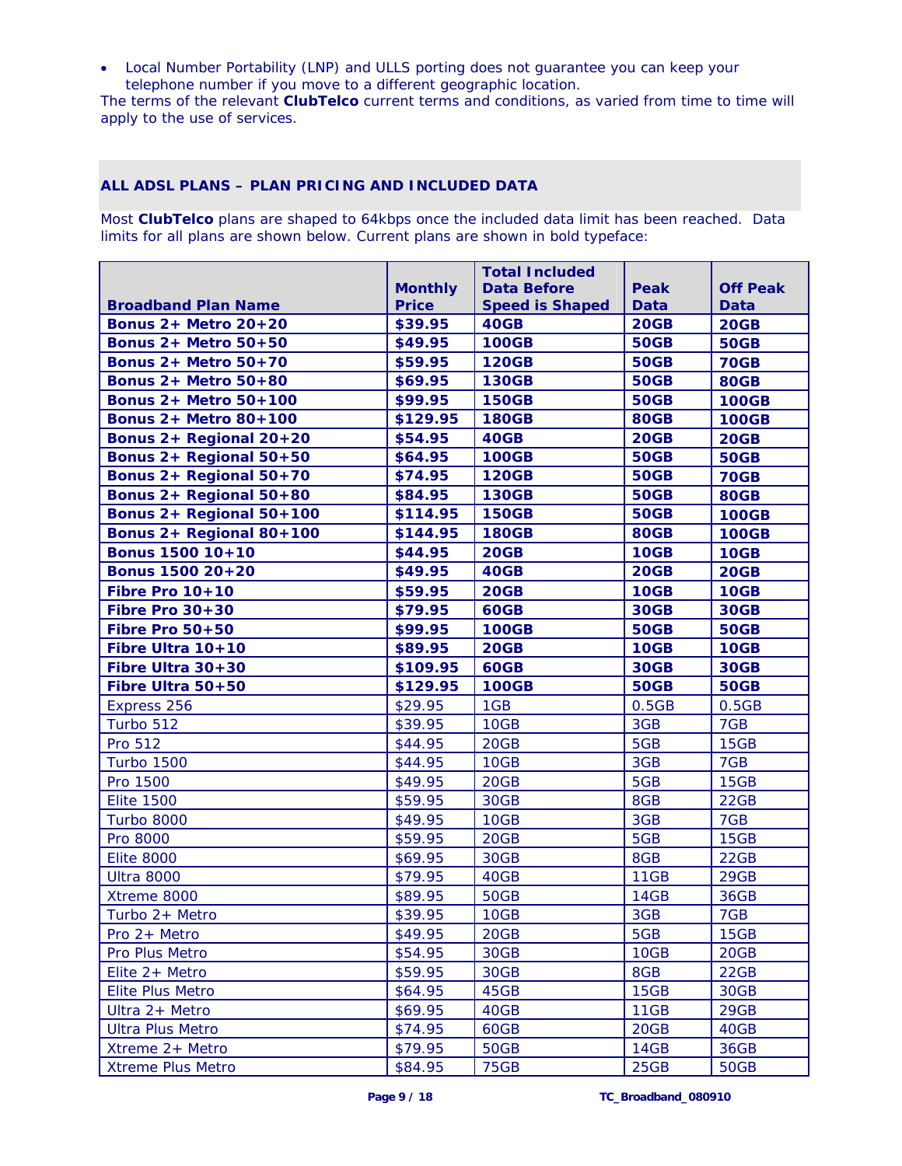• Local Number Portability (LNP) and ULLS porting does not guarantee you can keep your telephone number if you move to a different geographic location.

The terms of the relevant **ClubTelco** current terms and conditions, as varied from time to time will apply to the use of services.

# **ALL ADSL PLANS – PLAN PRICING AND INCLUDED DATA**

Most **ClubTelco** plans are shaped to 64kbps once the included data limit has been reached. Data limits for all plans are shown below. Current plans are shown in bold typeface:

|                              |                | <b>Total Included</b>  |             |                 |
|------------------------------|----------------|------------------------|-------------|-----------------|
|                              | <b>Monthly</b> | <b>Data Before</b>     | Peak        | <b>Off Peak</b> |
| <b>Broadband Plan Name</b>   | <b>Price</b>   | <b>Speed is Shaped</b> | <b>Data</b> | <b>Data</b>     |
| <b>Bonus 2+ Metro 20+20</b>  | \$39.95        | 40GB                   | <b>20GB</b> | <b>20GB</b>     |
| <b>Bonus 2+ Metro 50+50</b>  | \$49.95        | <b>100GB</b>           | <b>50GB</b> | <b>50GB</b>     |
| <b>Bonus 2+ Metro 50+70</b>  | \$59.95        | <b>120GB</b>           | <b>50GB</b> | <b>70GB</b>     |
| <b>Bonus 2+ Metro 50+80</b>  | \$69.95        | <b>130GB</b>           | <b>50GB</b> | <b>80GB</b>     |
| <b>Bonus 2+ Metro 50+100</b> | \$99.95        | <b>150GB</b>           | <b>50GB</b> | <b>100GB</b>    |
| <b>Bonus 2+ Metro 80+100</b> | \$129.95       | <b>180GB</b>           | <b>80GB</b> | <b>100GB</b>    |
| Bonus 2+ Regional 20+20      | \$54.95        | 40GB                   | 20GB        | <b>20GB</b>     |
| Bonus 2+ Regional 50+50      | \$64.95        | <b>100GB</b>           | <b>50GB</b> | <b>50GB</b>     |
| Bonus 2+ Regional 50+70      | \$74.95        | <b>120GB</b>           | <b>50GB</b> | <b>70GB</b>     |
| Bonus 2+ Regional 50+80      | \$84.95        | <b>130GB</b>           | <b>50GB</b> | <b>80GB</b>     |
| Bonus 2+ Regional 50+100     | \$114.95       | <b>150GB</b>           | <b>50GB</b> | <b>100GB</b>    |
| Bonus 2+ Regional 80+100     | \$144.95       | <b>180GB</b>           | <b>80GB</b> | <b>100GB</b>    |
| Bonus 1500 10+10             | \$44.95        | <b>20GB</b>            | <b>10GB</b> | <b>10GB</b>     |
| Bonus 1500 20+20             | \$49.95        | 40GB                   | <b>20GB</b> | <b>20GB</b>     |
| Fibre Pro 10+10              | \$59.95        | <b>20GB</b>            | <b>10GB</b> | <b>10GB</b>     |
| Fibre Pro $30+30$            | \$79.95        | <b>60GB</b>            | <b>30GB</b> | <b>30GB</b>     |
| Fibre Pro 50+50              | \$99.95        | <b>100GB</b>           | <b>50GB</b> | <b>50GB</b>     |
| Fibre Ultra 10+10            | \$89.95        | <b>20GB</b>            | <b>10GB</b> | <b>10GB</b>     |
| Fibre Ultra 30+30            | \$109.95       | <b>60GB</b>            | <b>30GB</b> | <b>30GB</b>     |
| Fibre Ultra 50+50            | \$129.95       | <b>100GB</b>           | <b>50GB</b> | <b>50GB</b>     |
| Express 256                  | \$29.95        | 1GB                    | 0.5GB       | 0.5GB           |
| Turbo 512                    | \$39.95        | 10GB                   | 3GB         | 7GB             |
| Pro 512                      | \$44.95        | 20GB                   | 5GB         | 15GB            |
| <b>Turbo 1500</b>            | \$44.95        | 10GB                   | 3GB         | 7GB             |
| Pro 1500                     | \$49.95        | 20GB                   | 5GB         | 15GB            |
| <b>Elite 1500</b>            | \$59.95        | 30GB                   | 8GB         | 22GB            |
| <b>Turbo 8000</b>            | \$49.95        | 10GB                   | 3GB         | 7GB             |
| Pro 8000                     | \$59.95        | 20GB                   | 5GB         | 15GB            |
| <b>Elite 8000</b>            | \$69.95        | 30GB                   | 8GB         | 22GB            |
| <b>Ultra 8000</b>            | \$79.95        | 40GB                   | 11GB        | 29GB            |
| Xtreme 8000                  | \$89.95        | <b>50GB</b>            | 14GB        | <b>36GB</b>     |
| Turbo 2+ Metro               | \$39.95        | 10GB                   | 3GB         | 7GB             |
| $Pro 2 + Metro$              | \$49.95        | 20GB                   | 5GB         | 15GB            |
| Pro Plus Metro               | \$54.95        | 30GB                   | 10GB        | 20GB            |
| Elite 2+ Metro               | \$59.95        | 30GB                   | 8GB         | 22GB            |
| <b>Elite Plus Metro</b>      | \$64.95        | 45GB                   | 15GB        | 30GB            |
| Ultra 2+ Metro               | \$69.95        | 40GB                   | 11GB        | 29GB            |
| <b>Ultra Plus Metro</b>      | \$74.95        | 60GB                   | 20GB        | 40GB            |
| Xtreme 2+ Metro              | \$79.95        | <b>50GB</b>            | 14GB        | 36GB            |
| <b>Xtreme Plus Metro</b>     | \$84.95        | <b>75GB</b>            | 25GB        | <b>50GB</b>     |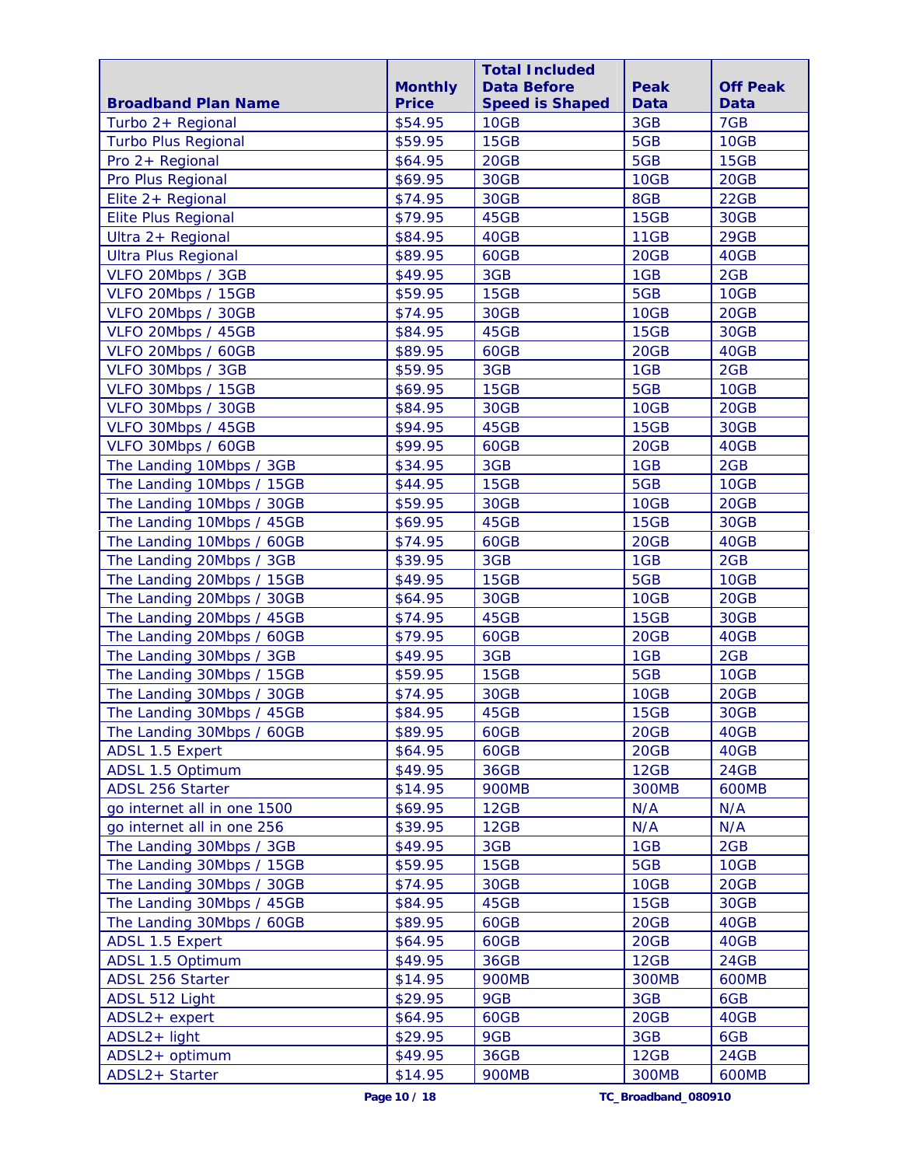|                             |                | <b>Total Included</b>  |              |                 |
|-----------------------------|----------------|------------------------|--------------|-----------------|
|                             | <b>Monthly</b> | <b>Data Before</b>     | Peak         | <b>Off Peak</b> |
| <b>Broadband Plan Name</b>  | <b>Price</b>   | <b>Speed is Shaped</b> | Data         | <b>Data</b>     |
| Turbo 2+ Regional           | \$54.95        | 10GB                   | 3GB          | 7GB             |
| <b>Turbo Plus Regional</b>  | \$59.95        | 15GB                   | 5GB          | 10GB            |
| Pro 2+ Regional             | \$64.95        | 20GB                   | 5GB          | 15GB            |
| Pro Plus Regional           | \$69.95        | 30GB                   | 10GB         | 20GB            |
| Elite 2+ Regional           | \$74.95        | 30GB                   | 8GB          | 22GB            |
| <b>Elite Plus Regional</b>  | \$79.95        | 45GB                   | 15GB         | 30GB            |
| Ultra 2+ Regional           | \$84.95        | 40GB                   | 11GB         | 29GB            |
| <b>Ultra Plus Regional</b>  | \$89.95        | 60GB                   | 20GB         | 40GB            |
| VLFO 20Mbps / 3GB           | \$49.95        | 3GB                    | 1GB          | 2GB             |
| VLFO 20Mbps / 15GB          | \$59.95        | 15GB                   | 5GB          | 10GB            |
| VLFO 20Mbps / 30GB          | \$74.95        | 30GB                   | 10GB         | 20GB            |
| VLFO 20Mbps / 45GB          | \$84.95        | 45GB                   | 15GB         | 30GB            |
| VLFO 20Mbps / 60GB          | \$89.95        | 60GB                   | 20GB         | 40GB            |
| VLFO 30Mbps / 3GB           | \$59.95        | 3GB                    | 1GB          | 2GB             |
| VLFO 30Mbps / 15GB          | \$69.95        | 15GB                   | 5GB          | 10GB            |
| VLFO 30Mbps / 30GB          | \$84.95        | 30GB                   | 10GB         | 20GB            |
| VLFO 30Mbps / 45GB          | \$94.95        | 45GB                   | 15GB         | 30GB            |
| VLFO 30Mbps / 60GB          | \$99.95        | 60GB                   | 20GB         | 40GB            |
| The Landing 10Mbps / 3GB    | \$34.95        | 3GB                    | 1GB          | 2GB             |
| The Landing 10Mbps / 15GB   | \$44.95        | 15GB                   | 5GB          | 10GB            |
| The Landing 10Mbps / 30GB   | \$59.95        | 30GB                   | 10GB         | 20GB            |
| The Landing 10Mbps / 45GB   | \$69.95        | 45GB                   | 15GB         | 30GB            |
| The Landing 10Mbps / 60GB   | \$74.95        | 60GB                   | 20GB         | 40GB            |
| The Landing 20Mbps / 3GB    | \$39.95        | 3GB                    | 1GB          | 2GB             |
| The Landing 20Mbps / 15GB   | \$49.95        | 15GB                   | 5GB          | 10GB            |
| The Landing 20Mbps / 30GB   | \$64.95        | 30GB                   | 10GB         | 20GB            |
| The Landing 20Mbps / 45GB   | \$74.95        | 45GB                   | 15GB         | 30GB            |
| The Landing 20Mbps / 60GB   | \$79.95        | 60GB                   | 20GB         | 40GB            |
| The Landing 30Mbps / 3GB    | \$49.95        | 3GB                    | 1GB          | 2GB             |
| The Landing 30Mbps / 15GB   | \$59.95        | 15GB                   | 5GB          | 10GB            |
| The Landing 30Mbps / 30GB   | \$74.95        | 30GB                   | 10GB         | 20GB            |
| The Landing 30Mbps / 45GB   | \$84.95        | 45GB                   | 15GB         | 30GB            |
| The Landing 30Mbps / 60GB   | \$89.95        | 60GB                   | 20GB         | 40GB            |
| <b>ADSL 1.5 Expert</b>      | \$64.95        | 60GB                   | 20GB         | 40GB            |
| ADSL 1.5 Optimum            | \$49.95        | 36GB                   | 12GB         | 24GB            |
| ADSL 256 Starter            | \$14.95        | <b>900MB</b>           | <b>300MB</b> | <b>600MB</b>    |
| go internet all in one 1500 | \$69.95        | 12GB                   | N/A          | N/A             |
| go internet all in one 256  | \$39.95        | 12GB                   | N/A          | N/A             |
| The Landing 30Mbps / 3GB    | \$49.95        | 3GB                    | 1GB          | 2GB             |
| The Landing 30Mbps / 15GB   | \$59.95        | 15GB                   | 5GB          | 10GB            |
| The Landing 30Mbps / 30GB   | \$74.95        | 30GB                   | 10GB         | 20GB            |
| The Landing 30Mbps / 45GB   | \$84.95        | 45GB                   | 15GB         | 30GB            |
| The Landing 30Mbps / 60GB   | \$89.95        | 60GB                   | 20GB         | 40GB            |
| ADSL 1.5 Expert             | \$64.95        | 60GB                   | 20GB         | 40GB            |
| ADSL 1.5 Optimum            | \$49.95        | 36GB                   | 12GB         | 24GB            |
| ADSL 256 Starter            | \$14.95        | <b>900MB</b>           | <b>300MB</b> | <b>600MB</b>    |
| ADSL 512 Light              | \$29.95        | 9GB                    | 3GB          | 6GB             |
| ADSL2+ expert               | \$64.95        | 60GB                   | 20GB         | 40GB            |
| ADSL2+ light                | \$29.95        | 9GB                    | 3GB          | 6GB             |
| ADSL2+ optimum              | \$49.95        | 36GB                   | 12GB         | 24GB            |
| ADSL2+ Starter              | \$14.95        | <b>900MB</b>           | <b>300MB</b> | <b>600MB</b>    |
|                             |                |                        |              |                 |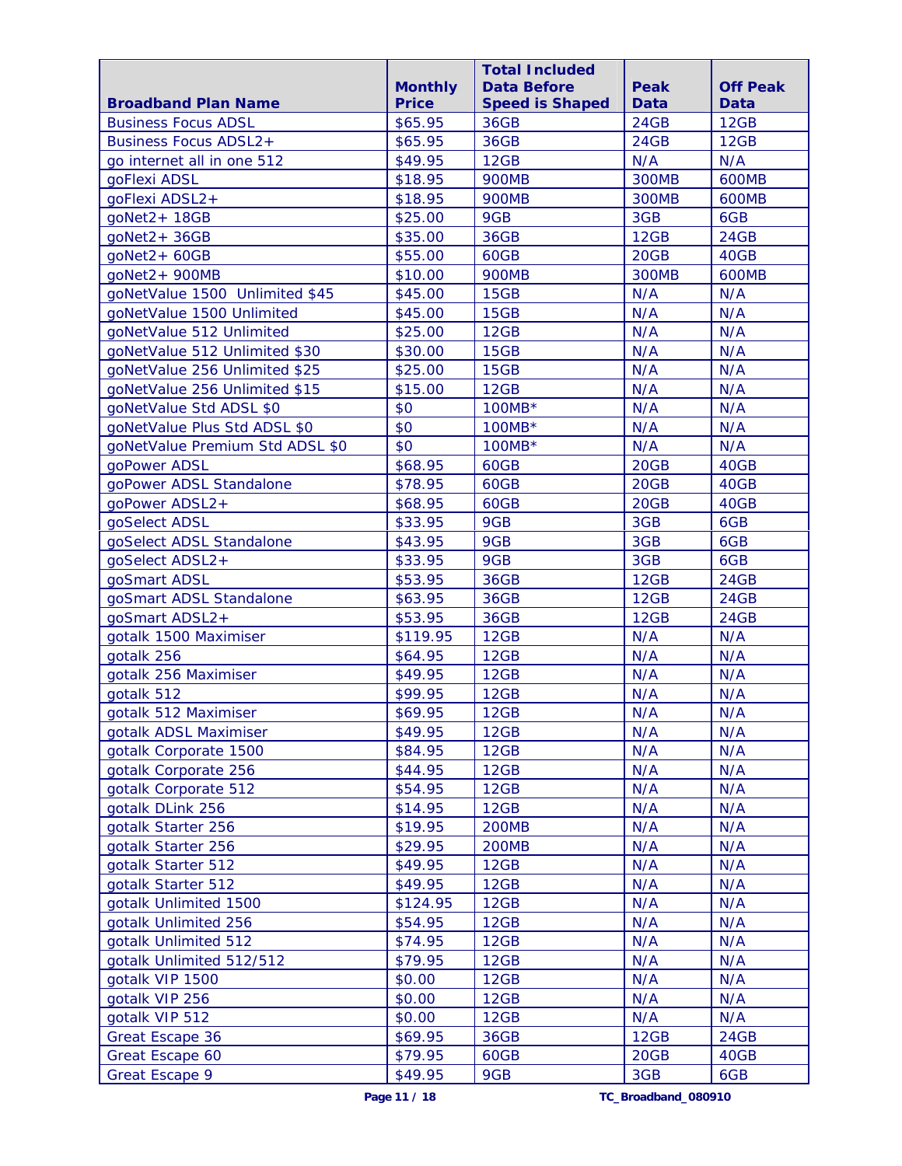|                                 |                                | <b>Total Included</b>                        |                     |                                |
|---------------------------------|--------------------------------|----------------------------------------------|---------------------|--------------------------------|
| <b>Broadband Plan Name</b>      | <b>Monthly</b><br><b>Price</b> | <b>Data Before</b><br><b>Speed is Shaped</b> | Peak<br><b>Data</b> | <b>Off Peak</b><br><b>Data</b> |
| <b>Business Focus ADSL</b>      | \$65.95                        | <b>36GB</b>                                  | 24GB                | 12GB                           |
| <b>Business Focus ADSL2+</b>    | \$65.95                        | 36GB                                         | 24GB                | 12GB                           |
| go internet all in one 512      | \$49.95                        | 12GB                                         | N/A                 | N/A                            |
| goFlexi ADSL                    | \$18.95                        | <b>900MB</b>                                 | <b>300MB</b>        | <b>600MB</b>                   |
| goFlexi ADSL2+                  | \$18.95                        | <b>900MB</b>                                 | <b>300MB</b>        | <b>600MB</b>                   |
| qoNet2+18GB                     | \$25.00                        | 9GB                                          | 3GB                 | 6GB                            |
| goNet2+36GB                     | \$35.00                        | <b>36GB</b>                                  | 12GB                | 24GB                           |
| $g0Net2 + 60GB$                 | \$55.00                        | 60GB                                         | 20GB                | 40GB                           |
| $qoNet2 + 900MB$                | \$10.00                        | <b>900MB</b>                                 | <b>300MB</b>        | <b>600MB</b>                   |
| goNetValue 1500 Unlimited \$45  | \$45.00                        | 15GB                                         | N/A                 | N/A                            |
| goNetValue 1500 Unlimited       | \$45.00                        | 15GB                                         | N/A                 | N/A                            |
| goNetValue 512 Unlimited        | \$25.00                        | 12GB                                         | N/A                 | N/A                            |
| goNetValue 512 Unlimited \$30   | \$30.00                        | 15GB                                         | N/A                 | N/A                            |
| goNetValue 256 Unlimited \$25   | \$25.00                        | <b>15GB</b>                                  | N/A                 | N/A                            |
| goNetValue 256 Unlimited \$15   | \$15.00                        | 12GB                                         | N/A                 | N/A                            |
| goNetValue Std ADSL \$0         | \$0                            | 100MB*                                       | N/A                 | N/A                            |
| goNetValue Plus Std ADSL \$0    | \$0                            | $100MB*$                                     | N/A                 | N/A                            |
| goNetValue Premium Std ADSL \$0 | \$0                            | $100MB*$                                     | N/A                 | N/A                            |
| goPower ADSL                    | \$68.95                        | 60GB                                         | 20GB                | 40GB                           |
| goPower ADSL Standalone         | \$78.95                        | 60GB                                         | 20GB                | 40GB                           |
| qoPower ADSL2+                  | \$68.95                        | 60GB                                         | 20GB                | 40GB                           |
| goSelect ADSL                   | \$33.95                        | 9GB                                          | 3GB                 | 6GB                            |
| goSelect ADSL Standalone        | \$43.95                        | 9GB                                          | 3GB                 | 6GB                            |
| goSelect ADSL2+                 | \$33.95                        | 9GB                                          | 3GB                 | 6GB                            |
| qoSmart ADSL                    | \$53.95                        | 36GB                                         | 12GB                | 24GB                           |
| goSmart ADSL Standalone         | \$63.95                        | 36GB                                         | 12GB                | 24GB                           |
| qoSmart ADSL2+                  | \$53.95                        | 36GB                                         | 12GB                | <b>24GB</b>                    |
| gotalk 1500 Maximiser           | \$119.95                       | 12GB                                         | N/A                 | N/A                            |
| gotalk 256                      | \$64.95                        | 12GB                                         | N/A                 | N/A                            |
| gotalk 256 Maximiser            | \$49.95                        | 12GB                                         | N/A                 | N/A                            |
| gotalk 512                      | \$99.95                        | 12GB                                         | N/A                 | N/A                            |
| gotalk 512 Maximiser            | \$69.95                        | 12GB                                         | N/A                 | N/A                            |
| gotalk ADSL Maximiser           | \$49.95                        | 12GB                                         | N/A                 | N/A                            |
| gotalk Corporate 1500           | \$84.95                        | 12GB                                         | N/A                 | N/A                            |
| gotalk Corporate 256            | \$44.95                        | 12GB                                         | N/A                 | N/A                            |
| gotalk Corporate 512            | \$54.95                        | 12GB                                         | N/A                 | N/A                            |
| gotalk DLink 256                | \$14.95                        | 12GB                                         | N/A                 | N/A                            |
| gotalk Starter 256              | \$19.95                        | <b>200MB</b>                                 | N/A                 | N/A                            |
| gotalk Starter 256              | \$29.95                        | <b>200MB</b>                                 | N/A                 | N/A                            |
| gotalk Starter 512              | \$49.95                        | 12GB                                         | N/A                 | N/A                            |
| gotalk Starter 512              | \$49.95                        | 12GB                                         | N/A                 | N/A                            |
| gotalk Unlimited 1500           | \$124.95                       | 12GB                                         | N/A                 | N/A                            |
| gotalk Unlimited 256            | \$54.95                        | 12GB                                         | N/A                 | N/A                            |
| gotalk Unlimited 512            | \$74.95                        | 12GB                                         | N/A                 | N/A                            |
| gotalk Unlimited 512/512        | \$79.95                        | 12GB                                         | N/A                 | N/A                            |
| gotalk VIP 1500                 | \$0.00                         | 12GB                                         | N/A                 | N/A                            |
| gotalk VIP 256                  | \$0.00                         | 12GB                                         | N/A                 | N/A                            |
| gotalk VIP 512                  | \$0.00                         | 12GB                                         | N/A                 | N/A                            |
| Great Escape 36                 | \$69.95                        | <b>36GB</b>                                  | 12GB                | 24GB                           |
| Great Escape 60                 | \$79.95                        | 60GB                                         | 20GB                | 40GB                           |
| Great Escape 9                  | \$49.95                        | 9GB                                          | 3GB                 | 6GB                            |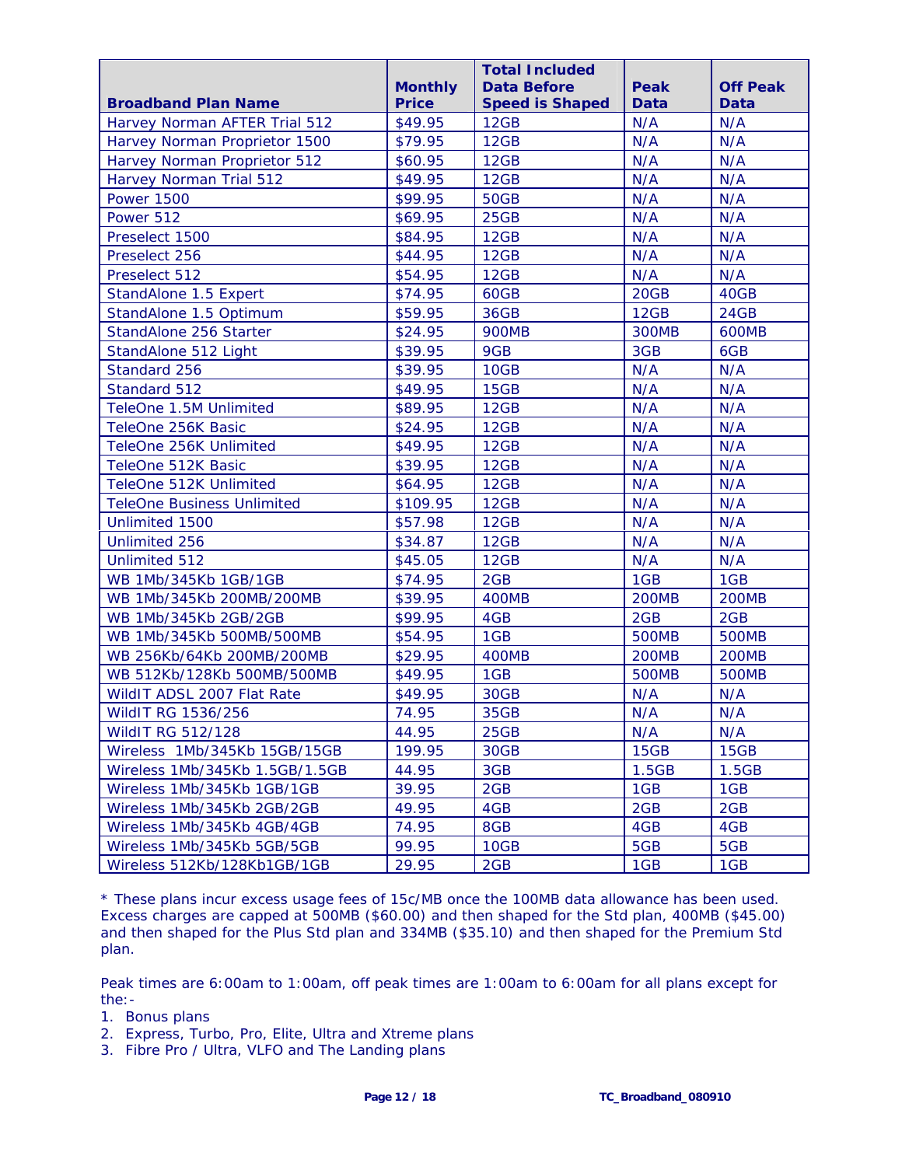|                                   |                | <b>Total Included</b>  |              |                 |
|-----------------------------------|----------------|------------------------|--------------|-----------------|
|                                   | <b>Monthly</b> | <b>Data Before</b>     | Peak         | <b>Off Peak</b> |
| <b>Broadband Plan Name</b>        | <b>Price</b>   | <b>Speed is Shaped</b> | <b>Data</b>  | <b>Data</b>     |
| Harvey Norman AFTER Trial 512     | \$49.95        | 12GB                   | N/A          | N/A             |
| Harvey Norman Proprietor 1500     | \$79.95        | 12GB                   | N/A          | N/A             |
| Harvey Norman Proprietor 512      | \$60.95        | 12GB                   | N/A          | N/A             |
| Harvey Norman Trial 512           | \$49.95        | 12GB                   | N/A          | N/A             |
| <b>Power 1500</b>                 | \$99.95        | <b>50GB</b>            | N/A          | N/A             |
| Power 512                         | \$69.95        | 25GB                   | N/A          | N/A             |
| Preselect 1500                    | \$84.95        | 12GB                   | N/A          | N/A             |
| Preselect 256                     | \$44.95        | 12GB                   | N/A          | N/A             |
| Preselect 512                     | \$54.95        | 12GB                   | N/A          | N/A             |
| StandAlone 1.5 Expert             | \$74.95        | 60GB                   | 20GB         | 40GB            |
| StandAlone 1.5 Optimum            | \$59.95        | <b>36GB</b>            | 12GB         | 24GB            |
| StandAlone 256 Starter            | \$24.95        | <b>900MB</b>           | <b>300MB</b> | <b>600MB</b>    |
| StandAlone 512 Light              | \$39.95        | 9GB                    | 3GB          | 6GB             |
| Standard 256                      | \$39.95        | 10GB                   | N/A          | N/A             |
| Standard 512                      | \$49.95        | 15GB                   | N/A          | N/A             |
| TeleOne 1.5M Unlimited            | \$89.95        | 12GB                   | N/A          | N/A             |
| TeleOne 256K Basic                | \$24.95        | 12GB                   | N/A          | N/A             |
| TeleOne 256K Unlimited            | \$49.95        | 12GB                   | N/A          | N/A             |
| TeleOne 512K Basic                | \$39.95        | 12GB                   | N/A          | N/A             |
| TeleOne 512K Unlimited            | \$64.95        | 12GB                   | N/A          | N/A             |
| <b>TeleOne Business Unlimited</b> | \$109.95       | 12GB                   | N/A          | N/A             |
| Unlimited 1500                    | \$57.98        | 12GB                   | N/A          | N/A             |
| <b>Unlimited 256</b>              | \$34.87        | 12GB                   | N/A          | N/A             |
| <b>Unlimited 512</b>              | \$45.05        | 12GB                   | N/A          | N/A             |
| WB 1Mb/345Kb 1GB/1GB              | \$74.95        | 2GB                    | 1GB          | 1GB             |
| WB 1Mb/345Kb 200MB/200MB          | \$39.95        | 400MB                  | <b>200MB</b> | <b>200MB</b>    |
| WB 1Mb/345Kb 2GB/2GB              | \$99.95        | 4GB                    | 2GB          | 2GB             |
| WB 1Mb/345Kb 500MB/500MB          | \$54.95        | 1GB                    | <b>500MB</b> | <b>500MB</b>    |
| WB 256Kb/64Kb 200MB/200MB         | \$29.95        | 400MB                  | <b>200MB</b> | <b>200MB</b>    |
| WB 512Kb/128Kb 500MB/500MB        | \$49.95        | 1GB                    | <b>500MB</b> | <b>500MB</b>    |
| WildIT ADSL 2007 Flat Rate        | \$49.95        | 30GB                   | N/A          | N/A             |
| WildIT RG 1536/256                | 74.95          | 35GB                   | N/A          | N/A             |
| <b>WildIT RG 512/128</b>          | 44.95          | 25GB                   | N/A          | N/A             |
| Wireless 1Mb/345Kb 15GB/15GB      | 199.95         | 30GB                   | 15GB         | 15GB            |
| Wireless 1Mb/345Kb 1.5GB/1.5GB    | 44.95          | 3GB                    | 1.5GB        | 1.5GB           |
| Wireless 1Mb/345Kb 1GB/1GB        | 39.95          | 2GB                    | 1GB          | 1GB             |
| Wireless 1Mb/345Kb 2GB/2GB        | 49.95          | 4GB                    | 2GB          | 2GB             |
| Wireless 1Mb/345Kb 4GB/4GB        | 74.95          | 8GB                    | 4GB          | 4GB             |
| Wireless 1Mb/345Kb 5GB/5GB        | 99.95          | 10GB                   | 5GB          | 5GB             |
| Wireless 512Kb/128Kb1GB/1GB       | 29.95          | 2GB                    | 1GB          | 1GB             |

\* These plans incur excess usage fees of 15c/MB once the 100MB data allowance has been used. Excess charges are capped at 500MB (\$60.00) and then shaped for the Std plan, 400MB (\$45.00) and then shaped for the Plus Std plan and 334MB (\$35.10) and then shaped for the Premium Std plan.

Peak times are 6:00am to 1:00am, off peak times are 1:00am to 6:00am for all plans except for the:-

- 1. Bonus plans
- 2. Express, Turbo, Pro, Elite, Ultra and Xtreme plans
- 3. Fibre Pro / Ultra, VLFO and The Landing plans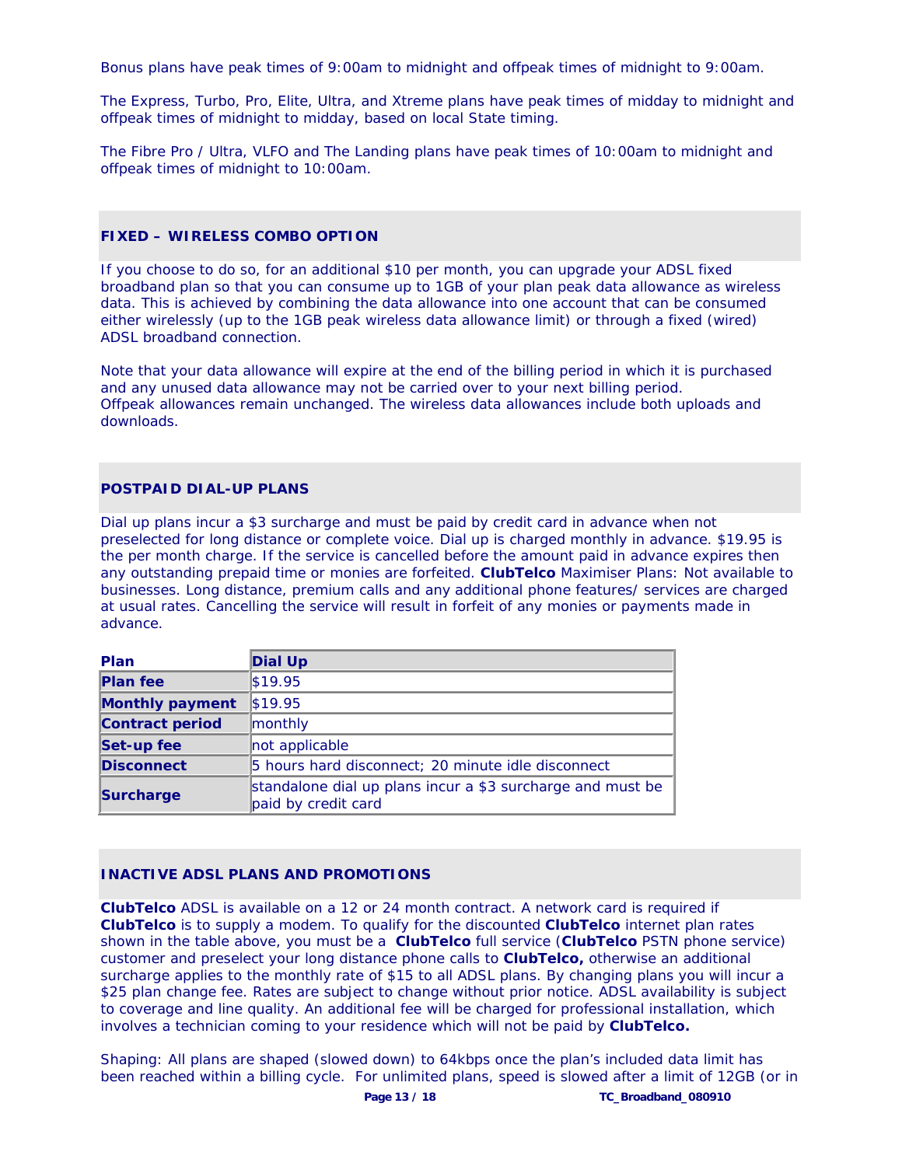Bonus plans have peak times of 9:00am to midnight and offpeak times of midnight to 9:00am.

The Express, Turbo, Pro, Elite, Ultra, and Xtreme plans have peak times of midday to midnight and offpeak times of midnight to midday, based on local State timing.

The Fibre Pro / Ultra, VLFO and The Landing plans have peak times of 10:00am to midnight and offpeak times of midnight to 10:00am.

# **FIXED – WIRELESS COMBO OPTION**

If you choose to do so, for an additional \$10 per month, you can upgrade your ADSL fixed broadband plan so that you can consume up to 1GB of your plan peak data allowance as wireless data. This is achieved by combining the data allowance into one account that can be consumed either wirelessly (up to the 1GB peak wireless data allowance limit) or through a fixed (wired) ADSL broadband connection.

Note that your data allowance will expire at the end of the billing period in which it is purchased and any unused data allowance may not be carried over to your next billing period. Offpeak allowances remain unchanged. The wireless data allowances include both uploads and downloads.

# **POSTPAID DIAL-UP PLANS**

Dial up plans incur a \$3 surcharge and must be paid by credit card in advance when not preselected for long distance or complete voice. Dial up is charged monthly in advance. \$19.95 is the per month charge. If the service is cancelled before the amount paid in advance expires then any outstanding prepaid time or monies are forfeited. **ClubTelco** Maximiser Plans: Not available to businesses. Long distance, premium calls and any additional phone features/ services are charged at usual rates. Cancelling the service will result in forfeit of any monies or payments made in advance.

| <b>Plan</b>            | Dial Up                                                                           |
|------------------------|-----------------------------------------------------------------------------------|
| <b>Plan fee</b>        | \$19.95                                                                           |
| <b>Monthly payment</b> | \$19.95                                                                           |
| <b>Contract period</b> | monthly                                                                           |
| Set-up fee             | not applicable                                                                    |
| <b>Disconnect</b>      | 5 hours hard disconnect; 20 minute idle disconnect                                |
| <b>Surcharge</b>       | standalone dial up plans incur a \$3 surcharge and must be<br>paid by credit card |

# **INACTIVE ADSL PLANS AND PROMOTIONS**

**ClubTelco** ADSL is available on a 12 or 24 month contract. A network card is required if **ClubTelco** is to supply a modem. To qualify for the discounted **ClubTelco** internet plan rates shown in the table above, you must be a **ClubTelco** full service (**ClubTelco** PSTN phone service) customer and preselect your long distance phone calls to **ClubTelco,** otherwise an additional surcharge applies to the monthly rate of \$15 to all ADSL plans. By changing plans you will incur a \$25 plan change fee. Rates are subject to change without prior notice. ADSL availability is subject to coverage and line quality. An additional fee will be charged for professional installation, which involves a technician coming to your residence which will not be paid by **ClubTelco.** 

Shaping: All plans are shaped (slowed down) to 64kbps once the plan's included data limit has been reached within a billing cycle. For unlimited plans, speed is slowed after a limit of 12GB (or in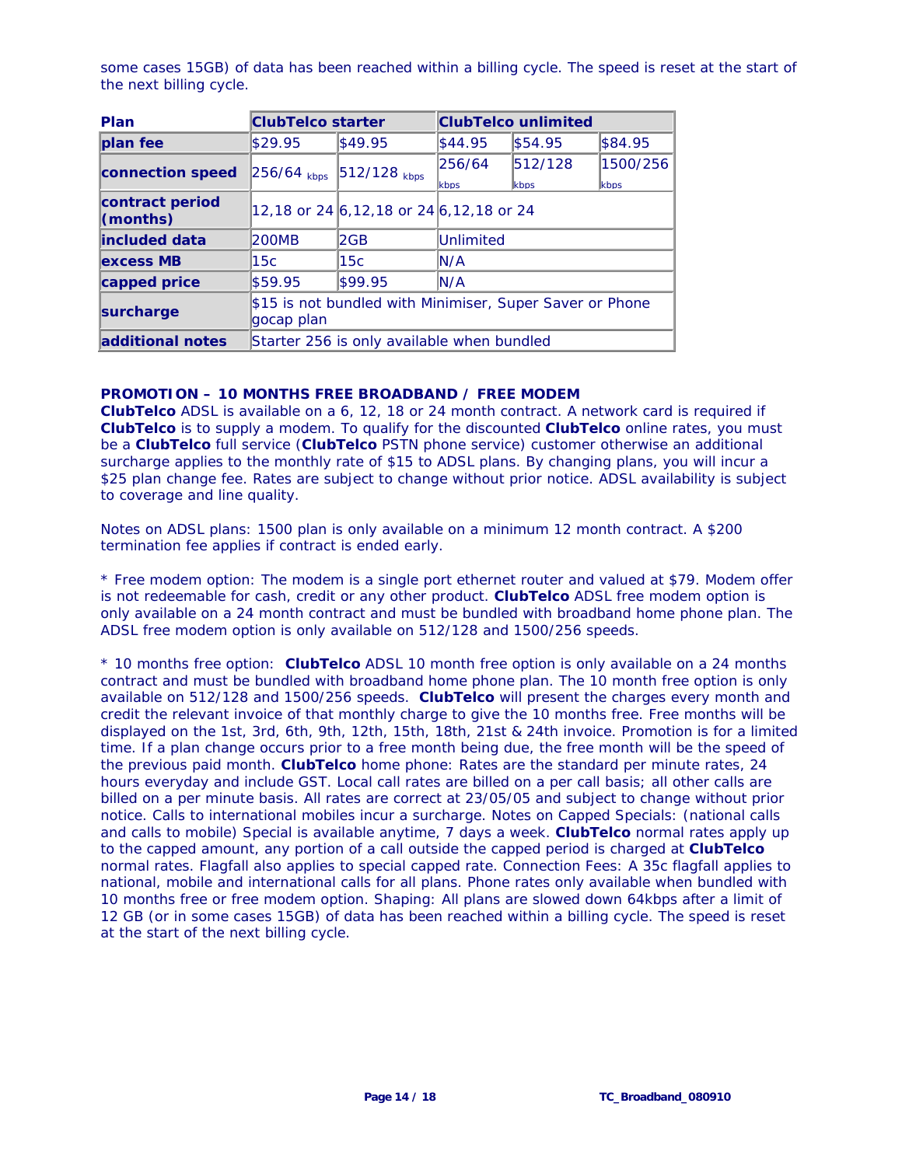some cases 15GB) of data has been reached within a billing cycle. The speed is reset at the start of the next billing cycle.

| Plan                            | <b>ClubTelco starter</b>                                               |                                               | <b>ClubTelco unlimited</b> |                 |                  |  |
|---------------------------------|------------------------------------------------------------------------|-----------------------------------------------|----------------------------|-----------------|------------------|--|
| plan fee                        | \$29.95                                                                | \$49.95                                       | \$44.95                    | \$54.95         | \$84.95          |  |
| connection speed                | $256/64$ kbps                                                          | $512/128$ <sub>kbps</sub>                     | 256/64<br>kbps             | 512/128<br>kbps | 1500/256<br>kbps |  |
| contract period<br>$ $ (months) |                                                                        | $12,18$ or 24 6, 12, 18 or 24 6, 12, 18 or 24 |                            |                 |                  |  |
| lincluded data                  | 1200MB                                                                 | 2GB<br>Unlimited                              |                            |                 |                  |  |
| excess MB                       | 115c                                                                   | 15c<br>IN/A                                   |                            |                 |                  |  |
| capped price                    | \$59.95                                                                | \$99.95                                       | N/A                        |                 |                  |  |
| surcharge                       | \$15 is not bundled with Minimiser, Super Saver or Phone<br>gocap plan |                                               |                            |                 |                  |  |
| additional notes                | Starter 256 is only available when bundled                             |                                               |                            |                 |                  |  |

#### **PROMOTION – 10 MONTHS FREE BROADBAND / FREE MODEM**

**ClubTelco** ADSL is available on a 6, 12, 18 or 24 month contract. A network card is required if **ClubTelco** is to supply a modem. To qualify for the discounted **ClubTelco** online rates, you must be a **ClubTelco** full service (**ClubTelco** PSTN phone service) customer otherwise an additional surcharge applies to the monthly rate of \$15 to ADSL plans. By changing plans, you will incur a \$25 plan change fee. Rates are subject to change without prior notice. ADSL availability is subject to coverage and line quality.

Notes on ADSL plans: 1500 plan is only available on a minimum 12 month contract. A \$200 termination fee applies if contract is ended early.

\* Free modem option: The modem is a single port ethernet router and valued at \$79. Modem offer is not redeemable for cash, credit or any other product. **ClubTelco** ADSL free modem option is only available on a 24 month contract and must be bundled with broadband home phone plan. The ADSL free modem option is only available on 512/128 and 1500/256 speeds.

\* 10 months free option: **ClubTelco** ADSL 10 month free option is only available on a 24 months contract and must be bundled with broadband home phone plan. The 10 month free option is only available on 512/128 and 1500/256 speeds. **ClubTelco** will present the charges every month and credit the relevant invoice of that monthly charge to give the 10 months free. Free months will be displayed on the 1st, 3rd, 6th, 9th, 12th, 15th, 18th, 21st & 24th invoice. Promotion is for a limited time. If a plan change occurs prior to a free month being due, the free month will be the speed of the previous paid month. **ClubTelco** home phone: Rates are the standard per minute rates, 24 hours everyday and include GST. Local call rates are billed on a per call basis; all other calls are billed on a per minute basis. All rates are correct at 23/05/05 and subject to change without prior notice. Calls to international mobiles incur a surcharge. Notes on Capped Specials: (national calls and calls to mobile) Special is available anytime, 7 days a week. **ClubTelco** normal rates apply up to the capped amount, any portion of a call outside the capped period is charged at **ClubTelco**  normal rates. Flagfall also applies to special capped rate. Connection Fees: A 35c flagfall applies to national, mobile and international calls for all plans. Phone rates only available when bundled with 10 months free or free modem option. Shaping: All plans are slowed down 64kbps after a limit of 12 GB (or in some cases 15GB) of data has been reached within a billing cycle. The speed is reset at the start of the next billing cycle.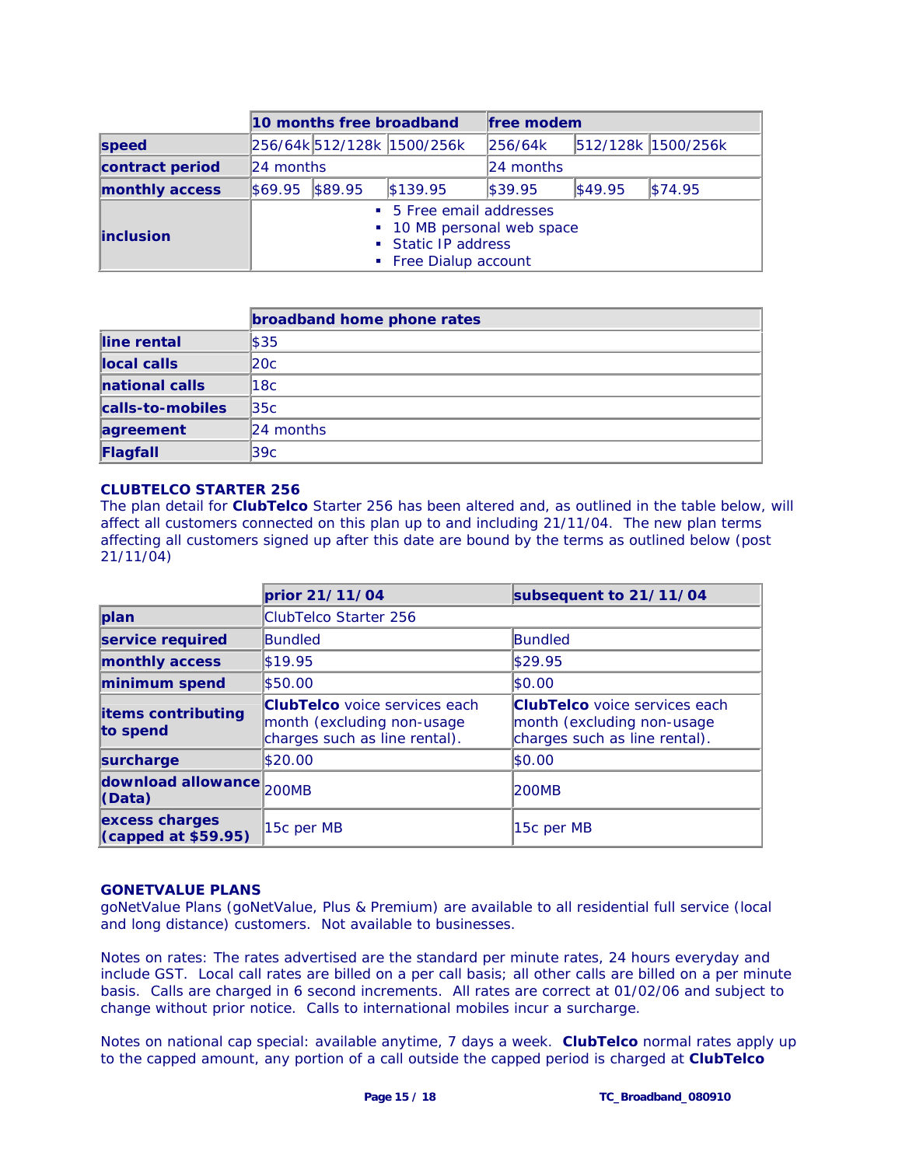|                   | 10 months free broadband |  |                                                                                                        | free modem |         |                    |
|-------------------|--------------------------|--|--------------------------------------------------------------------------------------------------------|------------|---------|--------------------|
| speed             |                          |  | 256/64k 512/128k 1500/256k                                                                             | 256/64k    |         | 512/128k 1500/256k |
| contract period   | 24 months                |  |                                                                                                        | 24 months  |         |                    |
| monthly access    | \$69.95 \$89.95          |  | \$139.95                                                                                               | \$39.95    | \$49.95 | \$74.95            |
| <b>linclusion</b> |                          |  | • 5 Free email addresses<br>• 10 MB personal web space<br>• Static IP address<br>• Free Dialup account |            |         |                    |

|                  | broadband home phone rates |
|------------------|----------------------------|
| line rental      | $\frac{1}{3}35$            |
| llocal calls     | 20c                        |
| national calls   | 118c                       |
| calls-to-mobiles | 135c                       |
| agreement        | 24 months                  |
| Flagfall         | 39c                        |

# **CLUBTELCO STARTER 256**

The plan detail for **ClubTelco** Starter 256 has been altered and, as outlined in the table below, will affect all customers connected on this plan up to and including 21/11/04. The new plan terms affecting all customers signed up after this date are bound by the terms as outlined below (post 21/11/04)

|                                               | prior 21/11/04                                                                                      | subsequent to 21/11/04                                                                              |
|-----------------------------------------------|-----------------------------------------------------------------------------------------------------|-----------------------------------------------------------------------------------------------------|
| plan                                          | ClubTelco Starter 256                                                                               |                                                                                                     |
| service required                              | Bundled                                                                                             | <b>Bundled</b>                                                                                      |
| monthly access                                | \$19.95                                                                                             | \$29.95                                                                                             |
| minimum spend                                 | \$50.00                                                                                             | \$0.00                                                                                              |
| <b>items contributing</b><br>to spend         | <b>ClubTelco</b> voice services each<br>month (excluding non-usage<br>charges such as line rental). | <b>ClubTelco</b> voice services each<br>month (excluding non-usage<br>charges such as line rental). |
| surcharge                                     | \$20.00                                                                                             | \$0.00                                                                                              |
| download allowance 200MB<br>(Data)            |                                                                                                     | 200MB                                                                                               |
| excess charges<br>$\vert$ (capped at \$59.95) | 15c per MB                                                                                          | 15c per MB                                                                                          |

#### **GONETVALUE PLANS**

goNetValue Plans (goNetValue, Plus & Premium) are available to all residential full service (local and long distance) customers. Not available to businesses.

Notes on rates: The rates advertised are the standard per minute rates, 24 hours everyday and include GST. Local call rates are billed on a per call basis; all other calls are billed on a per minute basis. Calls are charged in 6 second increments. All rates are correct at 01/02/06 and subject to change without prior notice. Calls to international mobiles incur a surcharge.

Notes on national cap special: available anytime, 7 days a week. **ClubTelco** normal rates apply up to the capped amount, any portion of a call outside the capped period is charged at **ClubTelco**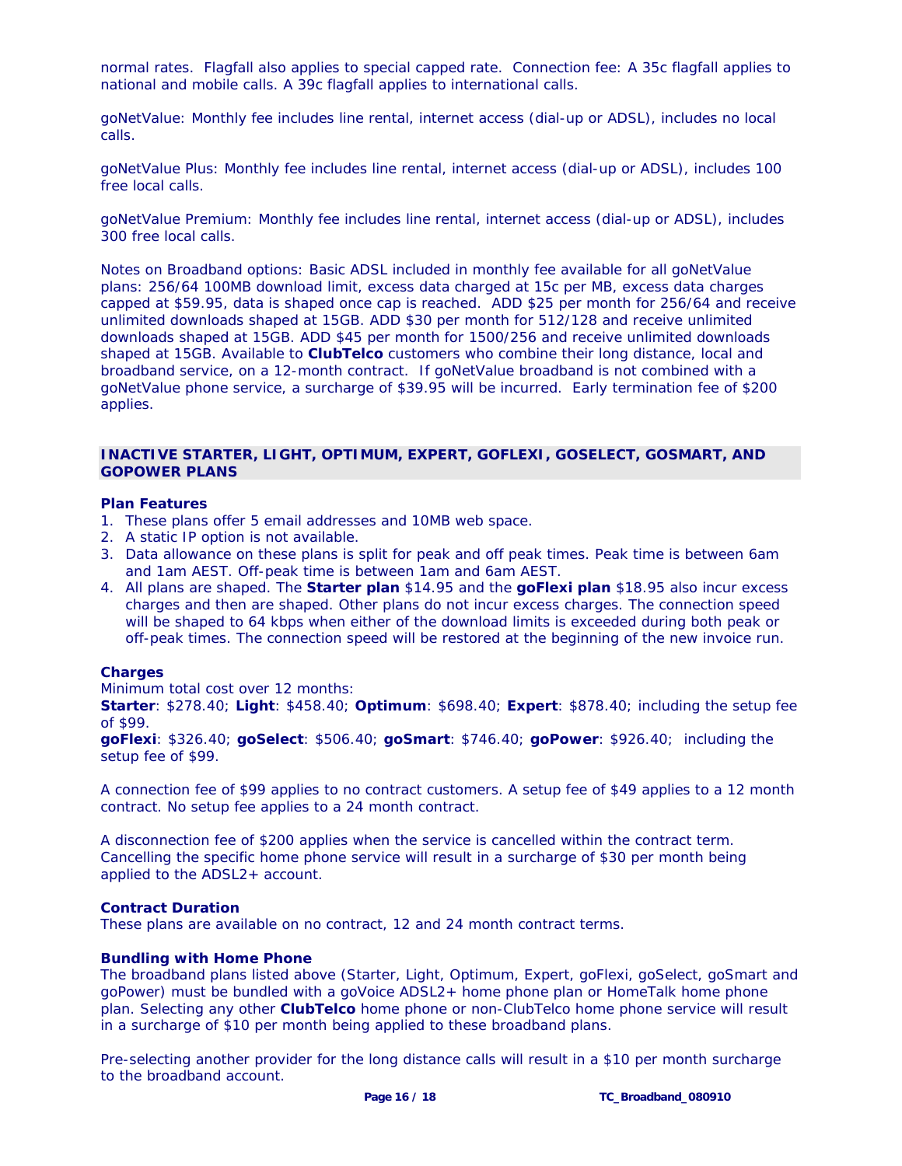normal rates. Flagfall also applies to special capped rate. Connection fee: A 35c flagfall applies to national and mobile calls. A 39c flagfall applies to international calls.

*goNetValue:* Monthly fee includes line rental, internet access (dial-up or ADSL), includes no local calls.

*goNetValue Plus:* Monthly fee includes line rental, internet access (dial-up or ADSL), includes 100 free local calls.

*goNetValue Premium:* Monthly fee includes line rental, internet access (dial-up or ADSL), includes 300 free local calls.

*Notes on Broadband options*: Basic ADSL included in monthly fee available for all goNetValue plans: 256/64 100MB download limit, excess data charged at 15c per MB, excess data charges capped at \$59.95, data is shaped once cap is reached. ADD \$25 per month for 256/64 and receive unlimited downloads shaped at 15GB. ADD \$30 per month for 512/128 and receive unlimited downloads shaped at 15GB. ADD \$45 per month for 1500/256 and receive unlimited downloads shaped at 15GB. Available to **ClubTelco** customers who combine their long distance, local and broadband service, on a 12-month contract. If goNetValue broadband is not combined with a goNetValue phone service, a surcharge of \$39.95 will be incurred. Early termination fee of \$200 applies.

#### **INACTIVE STARTER, LIGHT, OPTIMUM, EXPERT, GOFLEXI, GOSELECT, GOSMART, AND GOPOWER PLANS**

#### **Plan Features**

- 1. These plans offer 5 email addresses and 10MB web space.
- 2. A static IP option is not available.
- 3. Data allowance on these plans is split for peak and off peak times. Peak time is between 6am and 1am AEST. Off-peak time is between 1am and 6am AEST.
- 4. All plans are shaped. The **Starter plan** \$14.95 and the **goFlexi plan** \$18.95 also incur excess charges and then are shaped. Other plans do not incur excess charges. The connection speed will be shaped to 64 kbps when either of the download limits is exceeded during both peak or off-peak times. The connection speed will be restored at the beginning of the new invoice run.

#### **Charges**

Minimum total cost over 12 months:

**Starter**: \$278.40; **Light**: \$458.40; **Optimum**: \$698.40; **Expert**: \$878.40; including the setup fee of \$99.

**goFlexi**: \$326.40; **goSelect**: \$506.40; **goSmart**: \$746.40; **goPower**: \$926.40; including the setup fee of \$99.

A connection fee of \$99 applies to no contract customers. A setup fee of \$49 applies to a 12 month contract. No setup fee applies to a 24 month contract.

A disconnection fee of \$200 applies when the service is cancelled within the contract term. Cancelling the specific home phone service will result in a surcharge of \$30 per month being applied to the ADSL2+ account.

#### **Contract Duration**

These plans are available on no contract, 12 and 24 month contract terms.

#### **Bundling with Home Phone**

The broadband plans listed above (Starter, Light, Optimum, Expert, goFlexi, goSelect, goSmart and goPower) must be bundled with a goVoice ADSL2+ home phone plan or HomeTalk home phone plan. Selecting any other **ClubTelco** home phone or non-ClubTelco home phone service will result in a surcharge of \$10 per month being applied to these broadband plans.

Pre-selecting another provider for the long distance calls will result in a \$10 per month surcharge to the broadband account.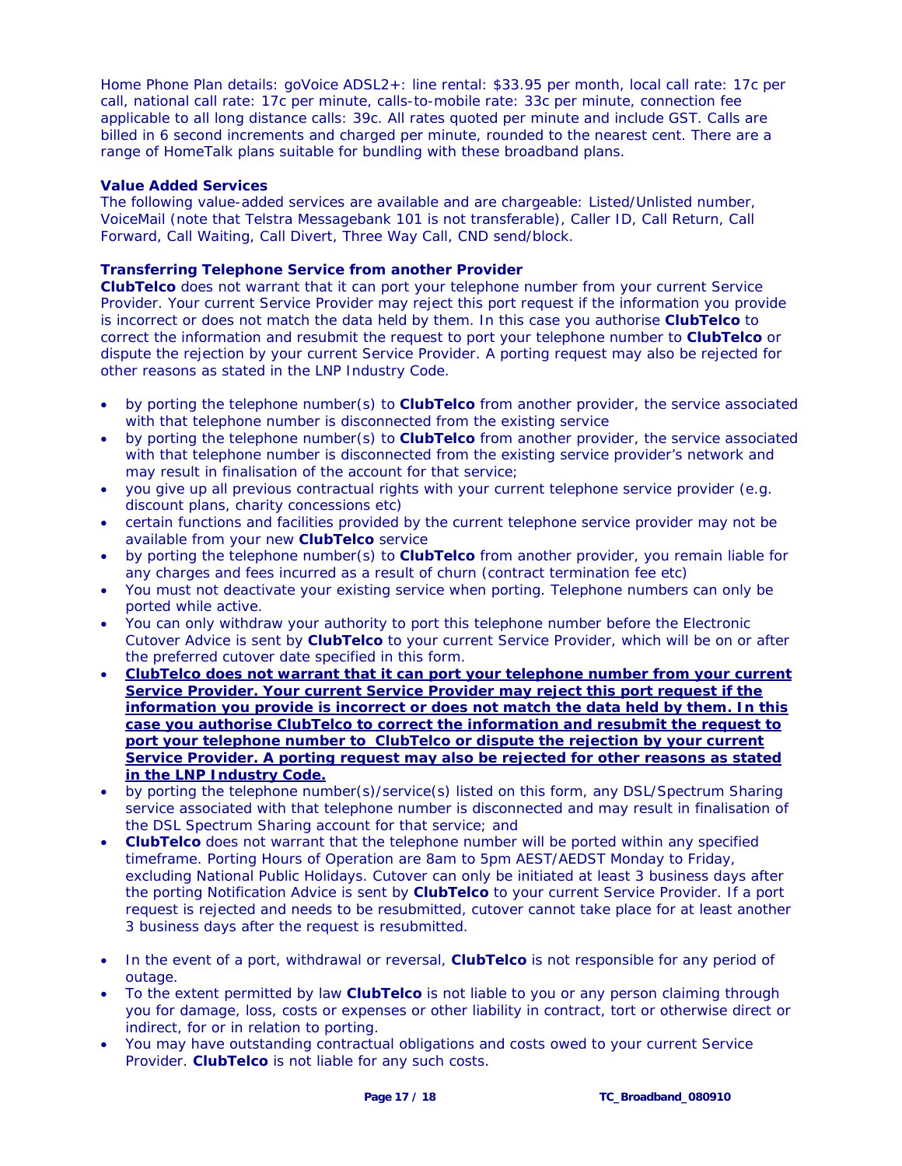Home Phone Plan details: goVoice ADSL2+: line rental: \$33.95 per month, local call rate: 17c per call, national call rate: 17c per minute, calls-to-mobile rate: 33c per minute, connection fee applicable to all long distance calls: 39c. All rates quoted per minute and include GST. Calls are billed in 6 second increments and charged per minute, rounded to the nearest cent. There are a range of HomeTalk plans suitable for bundling with these broadband plans.

# **Value Added Services**

The following value-added services are available and are chargeable: Listed/Unlisted number, VoiceMail (note that Telstra Messagebank 101 is not transferable), Caller ID, Call Return, Call Forward, Call Waiting, Call Divert, Three Way Call, CND send/block.

# **Transferring Telephone Service from another Provider**

**ClubTelco** does not warrant that it can port your telephone number from your current Service Provider. Your current Service Provider may reject this port request if the information you provide is incorrect or does not match the data held by them. In this case you authorise **ClubTelco** to correct the information and resubmit the request to port your telephone number to **ClubTelco** or dispute the rejection by your current Service Provider. A porting request may also be rejected for other reasons as stated in the LNP Industry Code.

- by porting the telephone number(s) to **ClubTelco** from another provider, the service associated with that telephone number is disconnected from the existing service
- by porting the telephone number(s) to **ClubTelco** from another provider, the service associated with that telephone number is disconnected from the existing service provider's network and may result in finalisation of the account for that service;
- you give up all previous contractual rights with your current telephone service provider (e.g. discount plans, charity concessions etc)
- certain functions and facilities provided by the current telephone service provider may not be available from your new **ClubTelco** service
- by porting the telephone number(s) to **ClubTelco** from another provider, you remain liable for any charges and fees incurred as a result of churn (contract termination fee etc)
- You must not deactivate your existing service when porting. Telephone numbers can only be ported while active.
- You can only withdraw your authority to port this telephone number before the Electronic Cutover Advice is sent by **ClubTelco** to your current Service Provider, which will be on or after the preferred cutover date specified in this form.
- **ClubTelco does not warrant that it can port your telephone number from your current Service Provider. Your current Service Provider may reject this port request if the information you provide is incorrect or does not match the data held by them. In this case you authorise ClubTelco to correct the information and resubmit the request to port your telephone number to ClubTelco or dispute the rejection by your current Service Provider. A porting request may also be rejected for other reasons as stated in the LNP Industry Code.**
- by porting the telephone number(s)/service(s) listed on this form, any DSL/Spectrum Sharing service associated with that telephone number is disconnected and may result in finalisation of the DSL Spectrum Sharing account for that service; and
- **ClubTelco** does not warrant that the telephone number will be ported within any specified timeframe. Porting Hours of Operation are 8am to 5pm AEST/AEDST Monday to Friday, excluding National Public Holidays. Cutover can only be initiated at least 3 business days after the porting Notification Advice is sent by **ClubTelco** to your current Service Provider. If a port request is rejected and needs to be resubmitted, cutover cannot take place for at least another 3 business days after the request is resubmitted.
- In the event of a port, withdrawal or reversal, **ClubTelco** is not responsible for any period of outage.
- To the extent permitted by law **ClubTelco** is not liable to you or any person claiming through you for damage, loss, costs or expenses or other liability in contract, tort or otherwise direct or indirect, for or in relation to porting.
- You may have outstanding contractual obligations and costs owed to your current Service Provider. **ClubTelco** is not liable for any such costs.